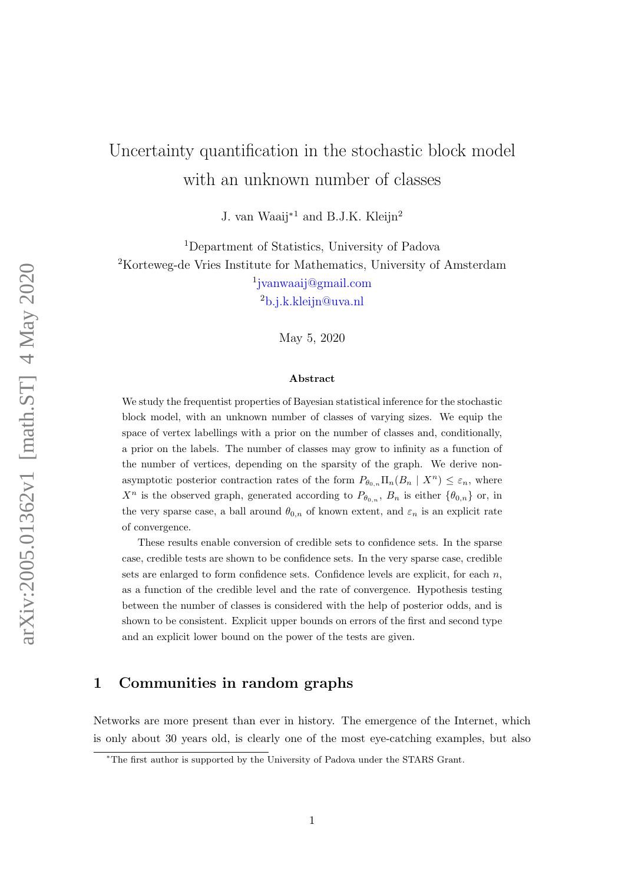# Uncertainty quantification in the stochastic block model with an unknown number of classes

J. van Waaij<sup>∗</sup><sup>1</sup> and B.J.K. Kleijn<sup>2</sup>

<sup>1</sup>Department of Statistics, University of Padova <sup>2</sup>Korteweg-de Vries Institute for Mathematics, University of Amsterdam 1 [jvanwaaij@gmail.com](mailto:jvanwaaij@gmail.com)

<sup>2</sup>[b.j.k.kleijn@uva.nl](mailto:B.J.K.Kleijn@uva.nl)

May 5, 2020

#### Abstract

We study the frequentist properties of Bayesian statistical inference for the stochastic block model, with an unknown number of classes of varying sizes. We equip the space of vertex labellings with a prior on the number of classes and, conditionally, a prior on the labels. The number of classes may grow to infinity as a function of the number of vertices, depending on the sparsity of the graph. We derive nonasymptotic posterior contraction rates of the form  $P_{\theta_{0,n}} \Pi_n(B_n \mid X^n) \leq \varepsilon_n$ , where  $X^n$  is the observed graph, generated according to  $P_{\theta_{0,n}}$ ,  $B_n$  is either  $\{\theta_{0,n}\}$  or, in the very sparse case, a ball around  $\theta_{0,n}$  of known extent, and  $\varepsilon_n$  is an explicit rate of convergence.

These results enable conversion of credible sets to confidence sets. In the sparse case, credible tests are shown to be confidence sets. In the very sparse case, credible sets are enlarged to form confidence sets. Confidence levels are explicit, for each  $n$ , as a function of the credible level and the rate of convergence. Hypothesis testing between the number of classes is considered with the help of posterior odds, and is shown to be consistent. Explicit upper bounds on errors of the first and second type and an explicit lower bound on the power of the tests are given.

# 1 Communities in random graphs

Networks are more present than ever in history. The emergence of the Internet, which is only about 30 years old, is clearly one of the most eye-catching examples, but also

<sup>∗</sup>The first author is supported by the University of Padova under the STARS Grant.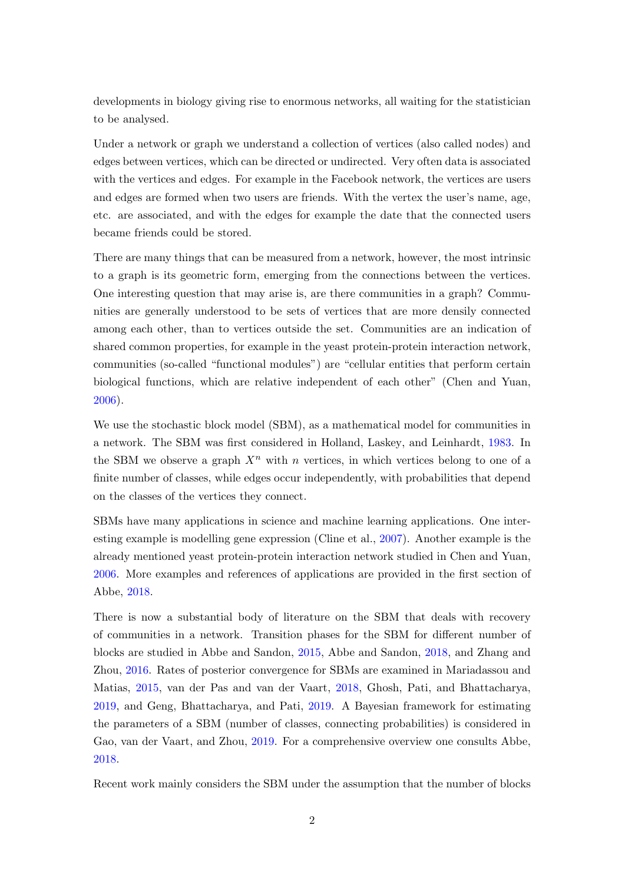developments in biology giving rise to enormous networks, all waiting for the statistician to be analysed.

Under a network or graph we understand a collection of vertices (also called nodes) and edges between vertices, which can be directed or undirected. Very often data is associated with the vertices and edges. For example in the Facebook network, the vertices are users and edges are formed when two users are friends. With the vertex the user's name, age, etc. are associated, and with the edges for example the date that the connected users became friends could be stored.

There are many things that can be measured from a network, however, the most intrinsic to a graph is its geometric form, emerging from the connections between the vertices. One interesting question that may arise is, are there communities in a graph? Communities are generally understood to be sets of vertices that are more densily connected among each other, than to vertices outside the set. Communities are an indication of shared common properties, for example in the yeast protein-protein interaction network, communities (so-called "functional modules") are "cellular entities that perform certain biological functions, which are relative independent of each other" (Chen and Yuan, [2006\)](#page-27-0).

We use the stochastic block model (SBM), as a mathematical model for communities in a network. The SBM was first considered in Holland, Laskey, and Leinhardt, [1983.](#page-27-1) In the SBM we observe a graph  $X<sup>n</sup>$  with n vertices, in which vertices belong to one of a finite number of classes, while edges occur independently, with probabilities that depend on the classes of the vertices they connect.

SBMs have many applications in science and machine learning applications. One interesting example is modelling gene expression (Cline et al., [2007\)](#page-27-2). Another example is the already mentioned yeast protein-protein interaction network studied in Chen and Yuan, [2006.](#page-27-0) More examples and references of applications are provided in the first section of Abbe, [2018.](#page-26-0)

There is now a substantial body of literature on the SBM that deals with recovery of communities in a network. Transition phases for the SBM for different number of blocks are studied in Abbe and Sandon, [2015,](#page-27-3) Abbe and Sandon, [2018,](#page-27-4) and Zhang and Zhou, [2016.](#page-28-0) Rates of posterior convergence for SBMs are examined in Mariadassou and Matias, [2015,](#page-28-1) van der Pas and van der Vaart, [2018,](#page-28-2) Ghosh, Pati, and Bhattacharya, [2019,](#page-27-5) and Geng, Bhattacharya, and Pati, [2019.](#page-27-6) A Bayesian framework for estimating the parameters of a SBM (number of classes, connecting probabilities) is considered in Gao, van der Vaart, and Zhou, [2019.](#page-27-7) For a comprehensive overview one consults Abbe, [2018.](#page-26-0)

Recent work mainly considers the SBM under the assumption that the number of blocks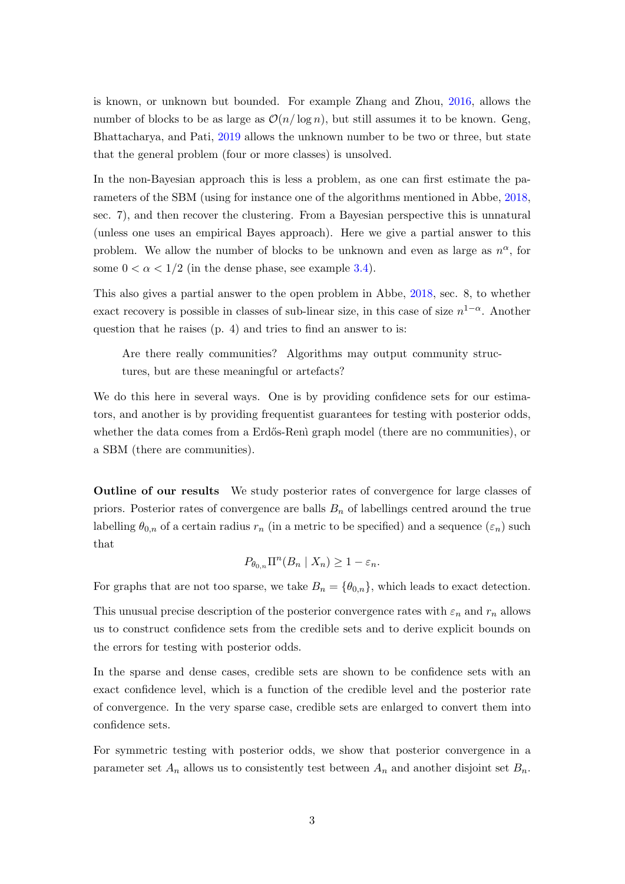is known, or unknown but bounded. For example Zhang and Zhou, [2016,](#page-28-0) allows the number of blocks to be as large as  $\mathcal{O}(n/\log n)$ , but still assumes it to be known. Geng, Bhattacharya, and Pati, [2019](#page-27-6) allows the unknown number to be two or three, but state that the general problem (four or more classes) is unsolved.

In the non-Bayesian approach this is less a problem, as one can first estimate the parameters of the SBM (using for instance one of the algorithms mentioned in Abbe, [2018,](#page-26-0) sec. 7), and then recover the clustering. From a Bayesian perspective this is unnatural (unless one uses an empirical Bayes approach). Here we give a partial answer to this problem. We allow the number of blocks to be unknown and even as large as  $n^{\alpha}$ , for some  $0 < \alpha < 1/2$  (in the dense phase, see example [3.4\)](#page-8-0).

This also gives a partial answer to the open problem in Abbe, [2018,](#page-26-0) sec. 8, to whether exact recovery is possible in classes of sub-linear size, in this case of size  $n^{1-\alpha}$ . Another question that he raises (p. 4) and tries to find an answer to is:

Are there really communities? Algorithms may output community structures, but are these meaningful or artefacts?

We do this here in several ways. One is by providing confidence sets for our estimators, and another is by providing frequentist guarantees for testing with posterior odds, whether the data comes from a Erdős-Reni graph model (there are no communities), or a SBM (there are communities).

Outline of our results We study posterior rates of convergence for large classes of priors. Posterior rates of convergence are balls  $B_n$  of labellings centred around the true labelling  $\theta_{0,n}$  of a certain radius  $r_n$  (in a metric to be specified) and a sequence  $(\varepsilon_n)$  such that

$$
P_{\theta_{0,n}}\Pi^{n}(B_n \mid X_n) \geq 1 - \varepsilon_n.
$$

For graphs that are not too sparse, we take  $B_n = \{\theta_{0,n}\}\,$ , which leads to exact detection.

This unusual precise description of the posterior convergence rates with  $\varepsilon_n$  and  $r_n$  allows us to construct confidence sets from the credible sets and to derive explicit bounds on the errors for testing with posterior odds.

In the sparse and dense cases, credible sets are shown to be confidence sets with an exact confidence level, which is a function of the credible level and the posterior rate of convergence. In the very sparse case, credible sets are enlarged to convert them into confidence sets.

For symmetric testing with posterior odds, we show that posterior convergence in a parameter set  $A_n$  allows us to consistently test between  $A_n$  and another disjoint set  $B_n$ .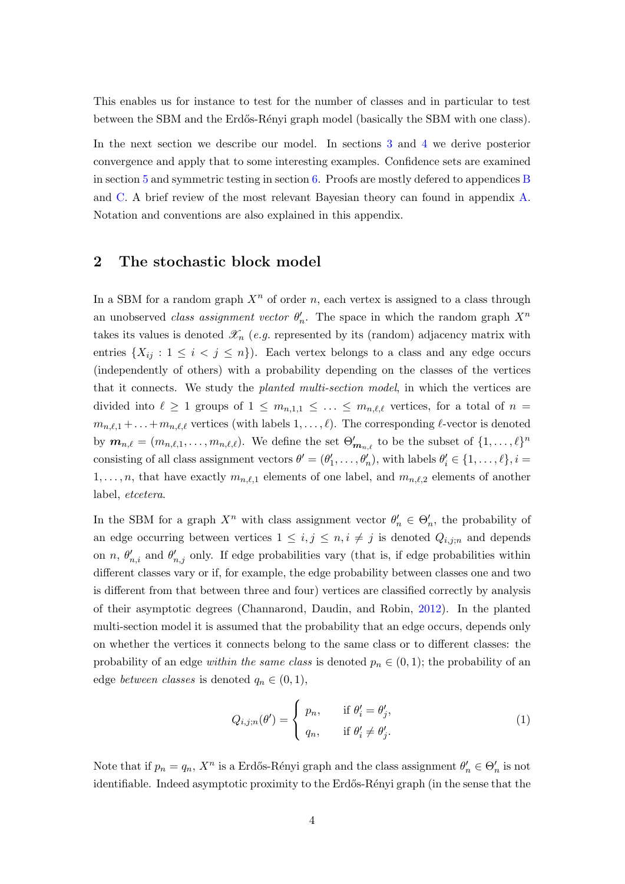This enables us for instance to test for the number of classes and in particular to test between the SBM and the Erdős-Rényi graph model (basically the SBM with one class).

In the next section we describe our model. In sections [3](#page-7-0) and [4](#page-10-0) we derive posterior convergence and apply that to some interesting examples. Confidence sets are examined in section [5](#page-15-0) and symmetric testing in section [6.](#page-18-0) Proofs are mostly defered to appendices [B](#page-21-0) and [C.](#page-26-1) A brief review of the most relevant Bayesian theory can found in appendix [A.](#page-20-0) Notation and conventions are also explained in this appendix.

# 2 The stochastic block model

In a SBM for a random graph  $X<sup>n</sup>$  of order n, each vertex is assigned to a class through an unobserved *class assignment vector*  $\theta'_n$ . The space in which the random graph  $X^n$ takes its values is denoted  $\mathscr{X}_n$  (e.g. represented by its (random) adjacency matrix with entries  $\{X_{ij}: 1 \leq i < j \leq n\}$ . Each vertex belongs to a class and any edge occurs (independently of others) with a probability depending on the classes of the vertices that it connects. We study the *planted multi-section model*, in which the vertices are divided into  $\ell \geq 1$  groups of  $1 \leq m_{n,1,1} \leq \ldots \leq m_{n,\ell,\ell}$  vertices, for a total of  $n =$  $m_{n,\ell,1} + \ldots + m_{n,\ell,\ell}$  vertices (with labels  $1, \ldots, \ell$ ). The corresponding  $\ell$ -vector is denoted by  $m_{n,\ell} = (m_{n,\ell,1}, \ldots, m_{n,\ell,\ell}).$  We define the set  $\Theta'_{m_{n,\ell}}$  to be the subset of  $\{1, \ldots, \ell\}^n$ consisting of all class assignment vectors  $\theta' = (\theta'_1, \dots, \theta'_n)$ , with labels  $\theta'_i \in \{1, \dots, \ell\}, i =$  $1, \ldots, n$ , that have exactly  $m_{n,\ell,1}$  elements of one label, and  $m_{n,\ell,2}$  elements of another label, etcetera.

In the SBM for a graph  $X^n$  with class assignment vector  $\theta'_n \in \Theta'_n$ , the probability of an edge occurring between vertices  $1 \leq i, j \leq n, i \neq j$  is denoted  $Q_{i,j;n}$  and depends on n,  $\theta'_{n,i}$  and  $\theta'_{n,j}$  only. If edge probabilities vary (that is, if edge probabilities within different classes vary or if, for example, the edge probability between classes one and two is different from that between three and four) vertices are classified correctly by analysis of their asymptotic degrees (Channarond, Daudin, and Robin, [2012\)](#page-27-8). In the planted multi-section model it is assumed that the probability that an edge occurs, depends only on whether the vertices it connects belong to the same class or to different classes: the probability of an edge *within the same class* is denoted  $p_n \in (0,1)$ ; the probability of an edge *between classes* is denoted  $q_n \in (0,1)$ ,

<span id="page-3-0"></span>
$$
Q_{i,j;n}(\theta') = \begin{cases} p_n, & \text{if } \theta'_i = \theta'_j, \\ q_n, & \text{if } \theta'_i \neq \theta'_j. \end{cases}
$$
 (1)

Note that if  $p_n = q_n$ ,  $X^n$  is a Erdős-Rényi graph and the class assignment  $\theta'_n \in \Theta'_n$  is not identifiable. Indeed asymptotic proximity to the Erdős-Rényi graph (in the sense that the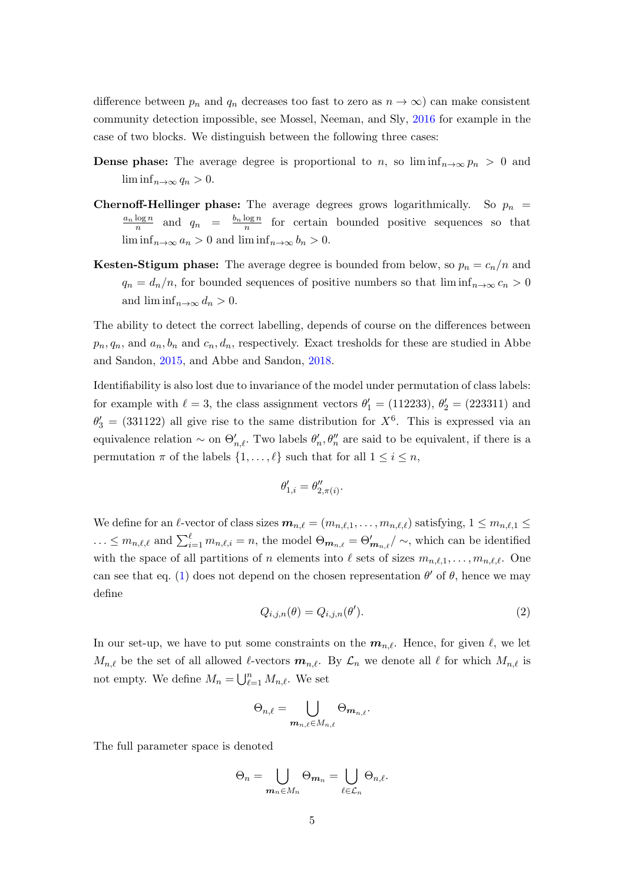difference between  $p_n$  and  $q_n$  decreases too fast to zero as  $n \to \infty$ ) can make consistent community detection impossible, see Mossel, Neeman, and Sly, [2016](#page-28-3) for example in the case of two blocks. We distinguish between the following three cases:

- **Dense phase:** The average degree is proportional to n, so  $\liminf_{n\to\infty} p_n > 0$  and  $\liminf_{n\to\infty}q_n>0.$
- **Chernoff-Hellinger phase:** The average degrees grows logarithmically. So  $p_n$  =  $a_n \log n$  $\frac{\log n}{n}$  and  $q_n = \frac{b_n \log n}{n}$  $\frac{\log n}{n}$  for certain bounded positive sequences so that  $\liminf_{n\to\infty}a_n>0$  and  $\liminf_{n\to\infty}b_n>0$ .
- **Kesten-Stigum phase:** The average degree is bounded from below, so  $p_n = c_n/n$  and  $q_n = d_n/n$ , for bounded sequences of positive numbers so that  $\liminf_{n\to\infty} c_n > 0$ and  $\liminf_{n\to\infty}d_n>0$ .

The ability to detect the correct labelling, depends of course on the differences between  $p_n, q_n$ , and  $a_n, b_n$  and  $c_n, d_n$ , respectively. Exact tresholds for these are studied in Abbe and Sandon, [2015,](#page-27-3) and Abbe and Sandon, [2018.](#page-27-4)

Identifiability is also lost due to invariance of the model under permutation of class labels: for example with  $\ell = 3$ , the class assignment vectors  $\theta'_1 = (112233), \theta'_2 = (223311)$  and  $\theta_3' = (331122)$  all give rise to the same distribution for  $X^6$ . This is expressed via an equivalence relation  $\sim$  on  $\Theta'_{n,\ell}$ . Two labels  $\theta'_n, \theta''_n$  are said to be equivalent, if there is a permutation  $\pi$  of the labels  $\{1, \ldots, \ell\}$  such that for all  $1 \leq i \leq n$ ,

$$
\theta'_{1,i} = \theta''_{2,\pi(i)}.
$$

We define for an  $\ell$ -vector of class sizes  $m_{n,\ell} = (m_{n,\ell,1}, \ldots, m_{n,\ell,\ell})$  satisfying,  $1 \leq m_{n,\ell,1} \leq$  $\ldots \leq m_{n,\ell,\ell}$  and  $\sum_{i=1}^{\ell} m_{n,\ell,i} = n$ , the model  $\Theta_{m_{n,\ell}} = \Theta'_{m_{n,\ell}} / \sim$ , which can be identified with the space of all partitions of n elements into  $\ell$  sets of sizes  $m_{n,\ell,1}, \ldots, m_{n,\ell,\ell}$ . One can see that eq. [\(1\)](#page-3-0) does not depend on the chosen representation  $\theta'$  of  $\theta$ , hence we may define

<span id="page-4-0"></span>
$$
Q_{i,j,n}(\theta) = Q_{i,j,n}(\theta').
$$
\n(2)

In our set-up, we have to put some constraints on the  $m_{n,\ell}$ . Hence, for given  $\ell$ , we let  $M_{n,\ell}$  be the set of all allowed  $\ell$ -vectors  $m_{n,\ell}$ . By  $\mathcal{L}_n$  we denote all  $\ell$  for which  $M_{n,\ell}$  is not empty. We define  $M_n = \bigcup_{\ell=1}^n M_{n,\ell}$ . We set

$$
\Theta_{n,\ell}=\bigcup_{\boldsymbol{m}_{n,\ell}\in M_{n,\ell}}\Theta_{\boldsymbol{m}_{n,\ell}}.
$$

The full parameter space is denoted

$$
\Theta_n = \bigcup_{\mathbf{m}_n \in M_n} \Theta_{\mathbf{m}_n} = \bigcup_{\ell \in \mathcal{L}_n} \Theta_{n,\ell}.
$$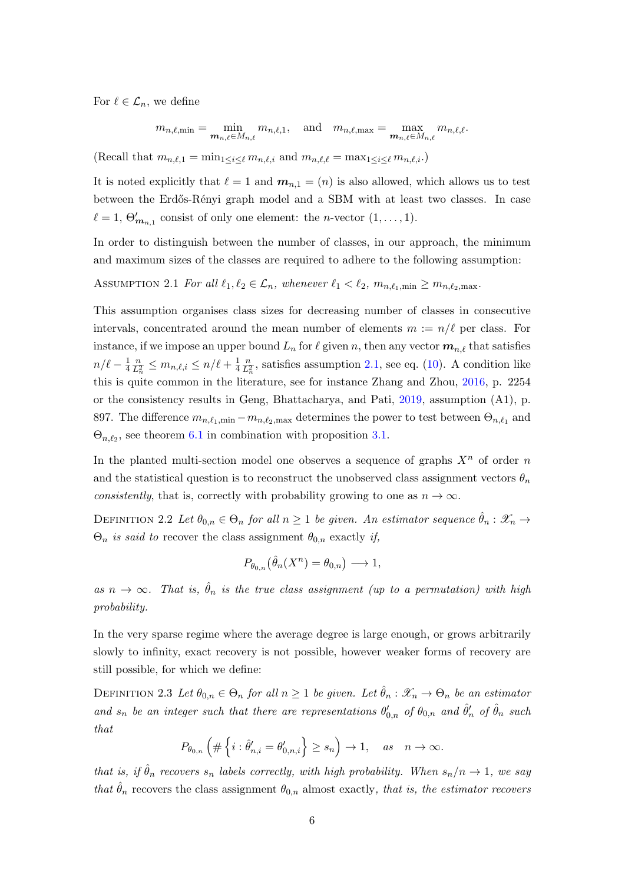For  $\ell \in \mathcal{L}_n$ , we define

 $m_{n,\ell,\min} = \min_{\boldsymbol{m}_{n,\ell} \in M_{n,\ell}} m_{n,\ell,1}, \quad \text{and} \quad m_{n,\ell,\max} = \max_{\boldsymbol{m}_{n,\ell} \in M_{n,\ell}} m_{n,\ell,\ell}.$ 

(Recall that  $m_{n,\ell,1} = \min_{1 \leq i \leq \ell} m_{n,\ell,i}$  and  $m_{n,\ell,\ell} = \max_{1 \leq i \leq \ell} m_{n,\ell,i}$ .)

It is noted explicitly that  $\ell = 1$  and  $m_{n,1} = (n)$  is also allowed, which allows us to test between the Erdős-Rényi graph model and a SBM with at least two classes. In case  $\ell = 1, \Theta'_{m_{n,1}}$  consist of only one element: the *n*-vector  $(1, \ldots, 1)$ .

In order to distinguish between the number of classes, in our approach, the minimum and maximum sizes of the classes are required to adhere to the following assumption:

<span id="page-5-0"></span>ASSUMPTION 2.1 For all  $\ell_1, \ell_2 \in \mathcal{L}_n$ , whenever  $\ell_1 < \ell_2$ ,  $m_{n,\ell_1,min} \geq m_{n,\ell_2,max}$ .

This assumption organises class sizes for decreasing number of classes in consecutive intervals, concentrated around the mean number of elements  $m := n/\ell$  per class. For instance, if we impose an upper bound  $L_n$  for  $\ell$  given n, then any vector  $\mathbf{m}_{n,\ell}$  that satisfies  $n/\ell - \frac{1}{4}$ 4  $\frac{n}{L_n^2} \leq m_{n,\ell,i} \leq n/\ell + \frac{1}{4}$ 4  $\frac{n}{L_n^2}$ , satisfies assumption [2.1,](#page-5-0) see eq. [\(10\)](#page-8-1). A condition like this is quite common in the literature, see for instance Zhang and Zhou, [2016,](#page-28-0) p. 2254 or the consistency results in Geng, Bhattacharya, and Pati, [2019,](#page-27-6) assumption (A1), p. 897. The difference  $m_{n,\ell_1,\text{min}} - m_{n,\ell_2,\text{max}}$  determines the power to test between  $\Theta_{n,\ell_1}$  and  $\Theta_{n,\ell_2}$ , see theorem [6.1](#page-18-1) in combination with proposition [3.1.](#page-7-1)

In the planted multi-section model one observes a sequence of graphs  $X<sup>n</sup>$  of order n and the statistical question is to reconstruct the unobserved class assignment vectors  $\theta_n$ consistently, that is, correctly with probability growing to one as  $n \to \infty$ .

DEFINITION 2.2 Let  $\theta_{0,n} \in \Theta_n$  for all  $n \geq 1$  be given. An estimator sequence  $\hat{\theta}_n : \mathscr{X}_n \to$  $\Theta_n$  is said to recover the class assignment  $\theta_{0,n}$  exactly if,

$$
P_{\theta_{0,n}}(\hat{\theta}_n(X^n) = \theta_{0,n}) \longrightarrow 1,
$$

as  $n \to \infty$ . That is,  $\hat{\theta}_n$  is the true class assignment (up to a permutation) with high probability.

In the very sparse regime where the average degree is large enough, or grows arbitrarily slowly to infinity, exact recovery is not possible, however weaker forms of recovery are still possible, for which we define:

DEFINITION 2.3 Let  $\theta_{0,n} \in \Theta_n$  for all  $n \geq 1$  be given. Let  $\theta_n : \mathscr{X}_n \to \Theta_n$  be an estimator and  $s_n$  be an integer such that there are representations  $\theta'_{0,n}$  of  $\theta_{0,n}$  and  $\hat{\theta}'_n$  of  $\hat{\theta}_n$  such that

$$
P_{\theta_{0,n}}\left(\#\left\{i:\hat{\theta}'_{n,i}=\theta'_{0,n,i}\right\}\geq s_n\right)\to 1,\quad as\quad n\to\infty.
$$

that is, if  $\hat{\theta}_n$  recovers  $s_n$  labels correctly, with high probability. When  $s_n/n \to 1$ , we say that  $\hat{\theta}_n$  recovers the class assignment  $\theta_{0,n}$  almost exactly, that is, the estimator recovers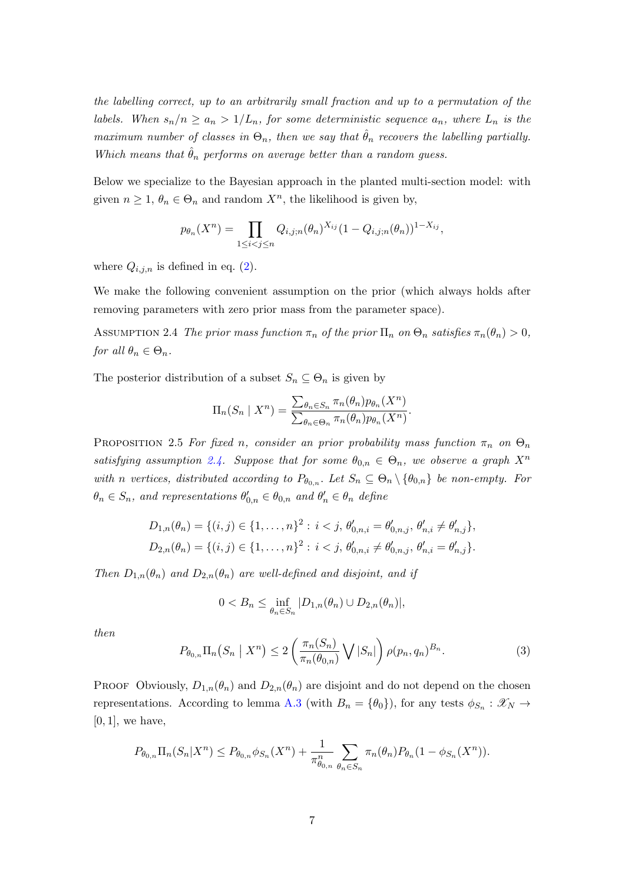the labelling correct, up to an arbitrarily small fraction and up to a permutation of the labels. When  $s_n/n \ge a_n > 1/L_n$ , for some deterministic sequence  $a_n$ , where  $L_n$  is the maximum number of classes in  $\Theta_n$ , then we say that  $\hat{\theta}_n$  recovers the labelling partially. Which means that  $\hat{\theta}_n$  performs on average better than a random guess.

Below we specialize to the Bayesian approach in the planted multi-section model: with given  $n \geq 1$ ,  $\theta_n \in \Theta_n$  and random  $X^n$ , the likelihood is given by,

$$
p_{\theta_n}(X^n) = \prod_{1 \le i < j \le n} Q_{i,j;n}(\theta_n)^{X_{ij}} (1 - Q_{i,j;n}(\theta_n))^{1 - X_{ij}},
$$

where  $Q_{i,j,n}$  is defined in eq. [\(2\)](#page-4-0).

We make the following convenient assumption on the prior (which always holds after removing parameters with zero prior mass from the parameter space).

<span id="page-6-0"></span>ASSUMPTION 2.4 The prior mass function  $\pi_n$  of the prior  $\Pi_n$  on  $\Theta_n$  satisfies  $\pi_n(\theta_n) > 0$ , for all  $\theta_n \in \Theta_n$ .

The posterior distribution of a subset  $S_n \subseteq \Theta_n$  is given by

$$
\Pi_n(S_n \mid X^n) = \frac{\sum_{\theta_n \in S_n} \pi_n(\theta_n) p_{\theta_n}(X^n)}{\sum_{\theta_n \in \Theta_n} \pi_n(\theta_n) p_{\theta_n}(X^n)}.
$$

<span id="page-6-1"></span>PROPOSITION 2.5 For fixed n, consider an prior probability mass function  $\pi_n$  on  $\Theta_n$ satisfying assumption [2.4.](#page-6-0) Suppose that for some  $\theta_{0,n} \in \Theta_n$ , we observe a graph  $X^n$ with n vertices, distributed according to  $P_{\theta_{0,n}}$ . Let  $S_n \subseteq \Theta_n \setminus {\theta_{0,n}}$  be non-empty. For  $\theta_n \in S_n$ , and representations  $\theta'_{0,n} \in \theta_{0,n}$  and  $\theta'_n \in \theta_n$  define

$$
D_{1,n}(\theta_n) = \{(i,j) \in \{1,\ldots,n\}^2 : i < j, \ \theta'_{0,n,i} = \theta'_{0,n,j}, \ \theta'_{n,i} \neq \theta'_{n,j}\},
$$
  

$$
D_{2,n}(\theta_n) = \{(i,j) \in \{1,\ldots,n\}^2 : i < j, \ \theta'_{0,n,i} \neq \theta'_{0,n,j}, \ \theta'_{n,i} = \theta'_{n,j}\}.
$$

Then  $D_{1,n}(\theta_n)$  and  $D_{2,n}(\theta_n)$  are well-defined and disjoint, and if

$$
0 < B_n \le \inf_{\theta_n \in S_n} |D_{1,n}(\theta_n) \cup D_{2,n}(\theta_n)|,
$$

then

$$
P_{\theta_{0,n}} \Pi_n(S_n \mid X^n) \le 2 \left( \frac{\pi_n(S_n)}{\pi_n(\theta_{0,n})} \bigvee |S_n| \right) \rho(p_n, q_n)^{B_n}.
$$
 (3)

PROOF Obviously,  $D_{1,n}(\theta_n)$  and  $D_{2,n}(\theta_n)$  are disjoint and do not depend on the chosen representations. According to lemma [A.3](#page-21-1) (with  $B_n = \{\theta_0\}$ ), for any tests  $\phi_{S_n} : \mathscr{X}_N \to$  $[0, 1]$ , we have,

$$
P_{\theta_{0,n}} \Pi_n(S_n | X^n) \le P_{\theta_{0,n}} \phi_{S_n}(X^n) + \frac{1}{\pi_{\theta_{0,n}}^n} \sum_{\theta_n \in S_n} \pi_n(\theta_n) P_{\theta_n}(1 - \phi_{S_n}(X^n)).
$$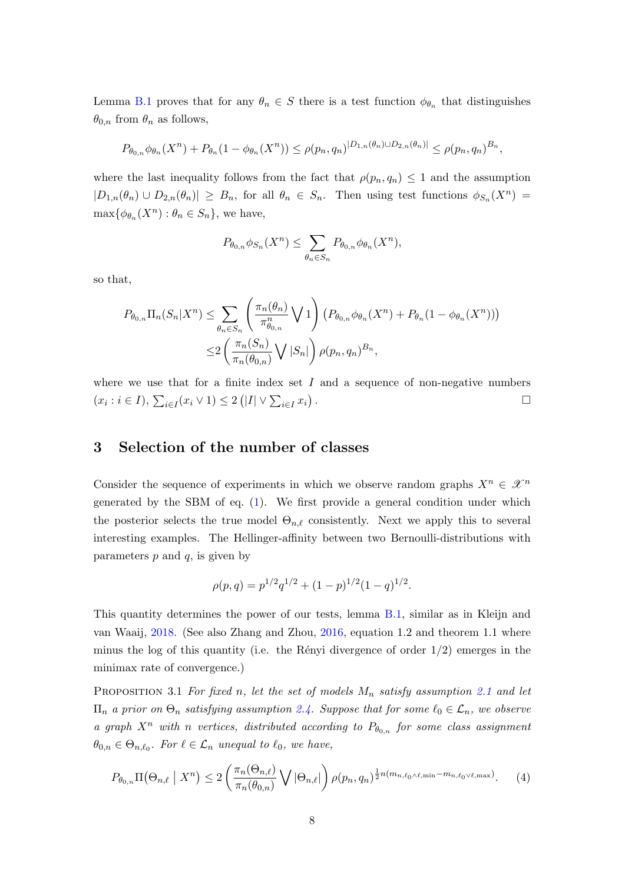Lemma [B.1](#page-22-0) proves that for any  $\theta_n \in S$  there is a test function  $\phi_{\theta_n}$  that distinguishes  $\theta_{0,n}$  from  $\theta_n$  as follows,

$$
P_{\theta_{0,n}}\phi_{\theta_n}(X^n) + P_{\theta_n}(1 - \phi_{\theta_n}(X^n)) \leq \rho(p_n, q_n)^{|D_{1,n}(\theta_n) \cup D_{2,n}(\theta_n)|} \leq \rho(p_n, q_n)^{B_n},
$$

where the last inequality follows from the fact that  $\rho(p_n, q_n) \leq 1$  and the assumption  $|D_{1,n}(\theta_n) \cup D_{2,n}(\theta_n)| \geq B_n$ , for all  $\theta_n \in S_n$ . Then using test functions  $\phi_{S_n}(X^n)$  $\max{\{\phi_{\theta_n}(X^n): \theta_n \in S_n\}}$ , we have,

$$
P_{\theta_{0,n}}\phi_{S_n}(X^n) \leq \sum_{\theta_n \in S_n} P_{\theta_{0,n}}\phi_{\theta_n}(X^n),
$$

so that,

$$
P_{\theta_{0,n}} \Pi_n(S_n | X^n) \le \sum_{\theta_n \in S_n} \left( \frac{\pi_n(\theta_n)}{\pi_{\theta_{0,n}}^n} \bigvee 1 \right) \left( P_{\theta_{0,n}} \phi_{\theta_n}(X^n) + P_{\theta_n}(1 - \phi_{\theta_n}(X^n)) \right) \n\le 2 \left( \frac{\pi_n(S_n)}{\pi_n(\theta_{0,n})} \bigvee |S_n| \right) \rho(p_n, q_n)^{B_n},
$$

where we use that for a finite index set  $I$  and a sequence of non-negative numbers  $(x_i : i \in I), \sum_{i \in I} (x_i \vee 1) \leq 2 (|I| \vee \sum_{i \in I} x_i)$ .

# <span id="page-7-0"></span>3 Selection of the number of classes

Consider the sequence of experiments in which we observe random graphs  $X^n \in \mathcal{X}^n$ generated by the SBM of eq. [\(1\)](#page-3-0). We first provide a general condition under which the posterior selects the true model  $\Theta_{n,\ell}$  consistently. Next we apply this to several interesting examples. The Hellinger-affinity between two Bernoulli-distributions with parameters  $p$  and  $q$ , is given by

$$
\rho(p,q) = p^{1/2}q^{1/2} + (1-p)^{1/2}(1-q)^{1/2}.
$$

This quantity determines the power of our tests, lemma [B.1,](#page-22-0) similar as in Kleijn and van Waaij, [2018.](#page-27-9) (See also Zhang and Zhou, [2016,](#page-28-0) equation 1.2 and theorem 1.1 where minus the log of this quantity (i.e. the Rényi divergence of order  $1/2$ ) emerges in the minimax rate of convergence.)

<span id="page-7-1"></span>PROPOSITION 3.1 For fixed n, let the set of models  $M_n$  satisfy assumption [2.1](#page-5-0) and let  $\Pi_n$  a prior on  $\Theta_n$  satisfying assumption [2.4.](#page-6-0) Suppose that for some  $\ell_0 \in \mathcal{L}_n$ , we observe a graph  $X^n$  with n vertices, distributed according to  $P_{\theta_{0,n}}$  for some class assignment  $\theta_{0,n} \in \Theta_{n,\ell_0}$ . For  $\ell \in \mathcal{L}_n$  unequal to  $\ell_0$ , we have,

$$
P_{\theta_{0,n}}\Pi\left(\Theta_{n,\ell} \mid X^n\right) \le 2\left(\frac{\pi_n(\Theta_{n,\ell})}{\pi_n(\theta_{0,n})}\bigvee |\Theta_{n,\ell}|\right)\rho(p_n,q_n)^{\frac{1}{2}n(m_{n,\ell_0\wedge\ell,\min}-m_{n,\ell_0\vee\ell,\max})}.\tag{4}
$$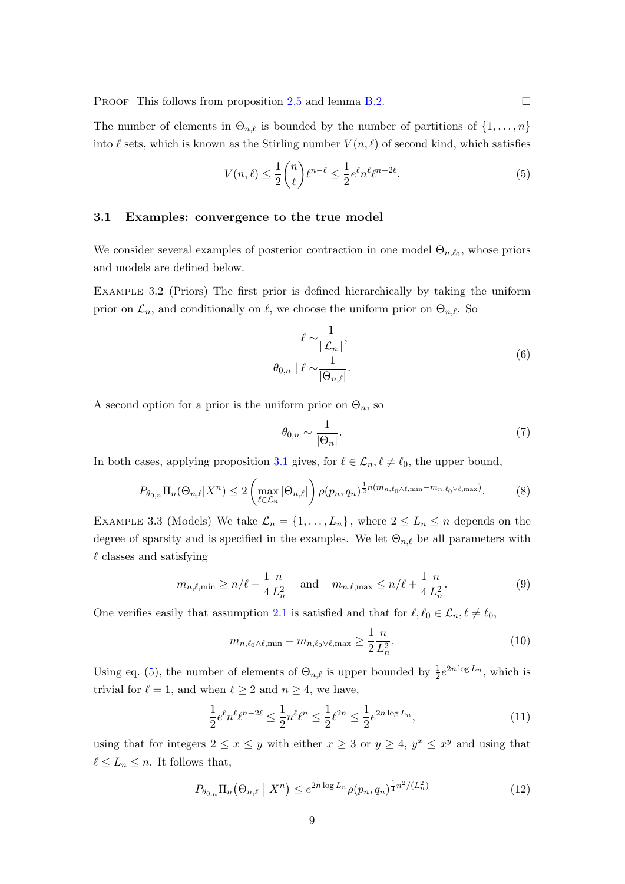PROOF This follows from proposition [2.5](#page-6-1) and lemma [B.2.](#page-23-0)

The number of elements in  $\Theta_{n,\ell}$  is bounded by the number of partitions of  $\{1, \ldots, n\}$ into  $\ell$  sets, which is known as the Stirling number  $V (n, \ell)$  of second kind, which satisfies

<span id="page-8-2"></span>
$$
V(n,\ell) \le \frac{1}{2} \binom{n}{\ell} \ell^{n-\ell} \le \frac{1}{2} e^{\ell} n^{\ell} \ell^{n-2\ell}.
$$
 (5)

#### <span id="page-8-6"></span>3.1 Examples: convergence to the true model

We consider several examples of posterior contraction in one model  $\Theta_{n,\ell_0}$ , whose priors and models are defined below.

<span id="page-8-4"></span>Example 3.2 (Priors) The first prior is defined hierarchically by taking the uniform prior on  $\mathcal{L}_n$ , and conditionally on  $\ell$ , we choose the uniform prior on  $\Theta_{n,\ell}$ . So

$$
\ell \sim \frac{1}{|\mathcal{L}_n|},
$$
  
\n
$$
\theta_{0,n} | \ell \sim \frac{1}{|\Theta_{n,\ell}|}.
$$
\n(6)

A second option for a prior is the uniform prior on  $\Theta_n$ , so

$$
\theta_{0,n} \sim \frac{1}{|\Theta_n|}.\tag{7}
$$

In both cases, applying proposition [3.1](#page-7-1) gives, for  $\ell \in \mathcal{L}_n, \ell \neq \ell_0$ , the upper bound,

$$
P_{\theta_{0,n}} \Pi_n(\Theta_{n,\ell}|X^n) \le 2 \left( \max_{\ell \in \mathcal{L}_n} |\Theta_{n,\ell}| \right) \rho(p_n, q_n)^{\frac{1}{2}n(m_{n,\ell_0 \wedge \ell, \min} - m_{n,\ell_0 \vee \ell, \max})}.
$$
 (8)

<span id="page-8-5"></span>EXAMPLE 3.3 (Models) We take  $\mathcal{L}_n = \{1, \ldots, L_n\}$ , where  $2 \leq L_n \leq n$  depends on the degree of sparsity and is specified in the examples. We let  $\Theta_{n,\ell}$  be all parameters with  $\ell$  classes and satisfying

$$
m_{n,\ell,\min} \ge n/\ell - \frac{1}{4} \frac{n}{L_n^2} \quad \text{and} \quad m_{n,\ell,\max} \le n/\ell + \frac{1}{4} \frac{n}{L_n^2}.\tag{9}
$$

One verifies easily that assumption [2.1](#page-5-0) is satisfied and that for  $\ell, \ell_0 \in \mathcal{L}_n, \ell \neq \ell_0$ ,

<span id="page-8-1"></span>
$$
m_{n,\ell_0 \wedge \ell, \min} - m_{n,\ell_0 \vee \ell, \max} \ge \frac{1}{2} \frac{n}{L_n^2}.\tag{10}
$$

Using eq. [\(5\)](#page-8-2), the number of elements of  $\Theta_{n,\ell}$  is upper bounded by  $\frac{1}{2}e^{2n\log L_n}$ , which is trivial for  $\ell = 1$ , and when  $\ell \geq 2$  and  $n \geq 4$ , we have,

$$
\frac{1}{2}e^{\ell}n^{\ell}\ell^{n-2\ell} \le \frac{1}{2}n^{\ell}\ell^{n} \le \frac{1}{2}\ell^{2n} \le \frac{1}{2}e^{2n\log L_n},\tag{11}
$$

<span id="page-8-0"></span>using that for integers  $2 \le x \le y$  with either  $x \ge 3$  or  $y \ge 4$ ,  $y^x \le x^y$  and using that  $\ell \leq L_n \leq n$ . It follows that,

<span id="page-8-3"></span>
$$
P_{\theta_{0,n}} \Pi_n(\Theta_{n,\ell} \mid X^n) \le e^{2n \log L_n} \rho(p_n, q_n)^{\frac{1}{4}n^2/(L_n^2)} \tag{12}
$$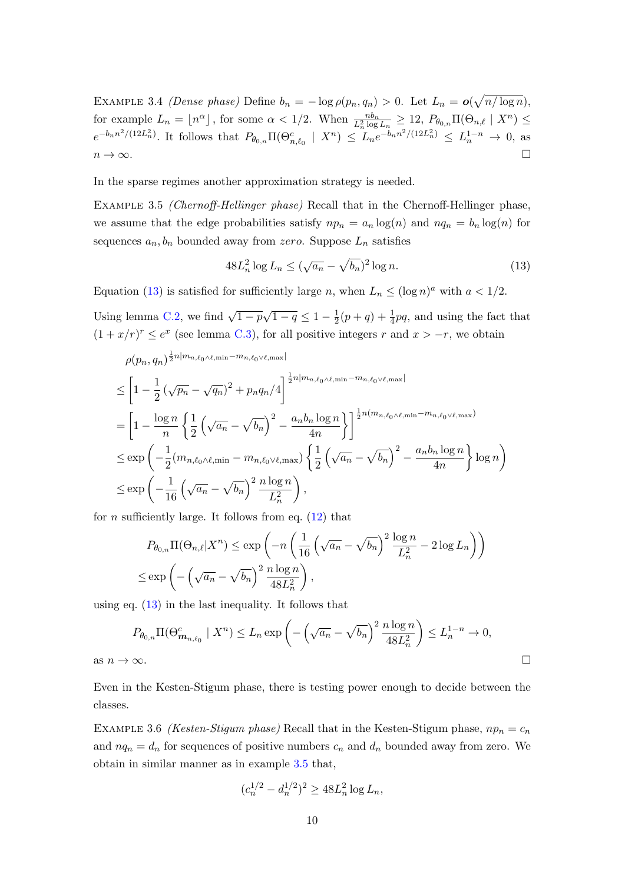EXAMPLE 3.4 (Dense phase) Define  $b_n = -\log \rho(p_n, q_n) > 0$ . Let  $L_n = o(\sqrt{n/\log n})$ , for example  $L_n = \lfloor n^{\alpha} \rfloor$ , for some  $\alpha < 1/2$ . When  $\frac{nb_n}{L_n^2 \log L_n} \ge 12$ ,  $P_{\theta_{0,n}} \Pi(\Theta_{n,\ell} \mid X^n) \le$  $e^{-b_n n^2/(12L_n^2)}$ . It follows that  $P_{\theta_{0,n}} \Pi(\Theta_{n,\ell_0}^c \mid X^n) \leq L_n e^{-b_n n^2/(12L_n^2)} \leq L_n^{1-n} \to 0$ , as  $n \to \infty$ .

<span id="page-9-1"></span>In the sparse regimes another approximation strategy is needed.

EXAMPLE 3.5 *(Chernoff-Hellinger phase)* Recall that in the Chernoff-Hellinger phase, we assume that the edge probabilities satisfy  $np_n = a_n \log(n)$  and  $nq_n = b_n \log(n)$  for sequences  $a_n, b_n$  bounded away from zero. Suppose  $L_n$  satisfies

<span id="page-9-0"></span>
$$
48L_n^2\log L_n \le (\sqrt{a_n} - \sqrt{b_n})^2\log n. \tag{13}
$$

Equation [\(13\)](#page-9-0) is satisfied for sufficiently large n, when  $L_n \leq (\log n)^a$  with  $a < 1/2$ .

Using lemma [C.2,](#page-26-2) we find  $\sqrt{1-p}\sqrt{1-q} \leq 1-\frac{1}{2}$  $\frac{1}{2}(p+q) + \frac{1}{4}pq$ , and using the fact that  $(1+x/r)^r \le e^{x}$  (see lemma [C.3\)](#page-26-3), for all positive integers r and  $x > -r$ , we obtain

$$
\rho(p_n, q_n)^{\frac{1}{2}n|m_{n,\ell_0\wedge\ell,\min}-m_{n,\ell_0\vee\ell,\max}|}
$$
\n
$$
\leq \left[1 - \frac{1}{2}\left(\sqrt{p_n} - \sqrt{q_n}\right)^2 + p_n q_n/4\right]^{\frac{1}{2}n|m_{n,\ell_0\wedge\ell,\min}-m_{n,\ell_0\vee\ell,\max}|}
$$
\n
$$
= \left[1 - \frac{\log n}{n}\left\{\frac{1}{2}\left(\sqrt{a_n} - \sqrt{b_n}\right)^2 - \frac{a_n b_n \log n}{4n}\right\}\right]^{\frac{1}{2}n(m_{n,\ell_0\wedge\ell,\min}-m_{n,\ell_0\vee\ell,\max})}
$$
\n
$$
\leq \exp\left(-\frac{1}{2}(m_{n,\ell_0\wedge\ell,\min}-m_{n,\ell_0\vee\ell,\max})\left\{\frac{1}{2}\left(\sqrt{a_n} - \sqrt{b_n}\right)^2 - \frac{a_n b_n \log n}{4n}\right\} \log n\right)
$$
\n
$$
\leq \exp\left(-\frac{1}{16}\left(\sqrt{a_n} - \sqrt{b_n}\right)^2 \frac{n \log n}{L_n^2}\right),
$$

for *n* sufficiently large. It follows from eq.  $(12)$  that

$$
P_{\theta_{0,n}} \Pi(\Theta_{n,\ell} | X^n) \le \exp\left(-n \left(\frac{1}{16} \left(\sqrt{a_n} - \sqrt{b_n}\right)^2 \frac{\log n}{L_n^2} - 2 \log L_n\right)\right)
$$
  

$$
\le \exp\left(-\left(\sqrt{a_n} - \sqrt{b_n}\right)^2 \frac{n \log n}{48L_n^2}\right),
$$

using eq. [\(13\)](#page-9-0) in the last inequality. It follows that

$$
P_{\theta_{0,n}} \Pi(\Theta_{\mathbf{m}_{n,\ell_0}}^c \mid X^n) \le L_n \exp\left(-\left(\sqrt{a_n} - \sqrt{b_n}\right)^2 \frac{n \log n}{48L_n^2}\right) \le L_n^{1-n} \to 0,
$$
as  $n \to \infty$ .

Even in the Kesten-Stigum phase, there is testing power enough to decide between the classes.

<span id="page-9-2"></span>EXAMPLE 3.6 (Kesten-Stigum phase) Recall that in the Kesten-Stigum phase,  $np_n = c_n$ and  $nq_n = d_n$  for sequences of positive numbers  $c_n$  and  $d_n$  bounded away from zero. We obtain in similar manner as in example [3.5](#page-9-1) that,

$$
(c_n^{1/2} - d_n^{1/2})^2 \ge 48L_n^2 \log L_n,
$$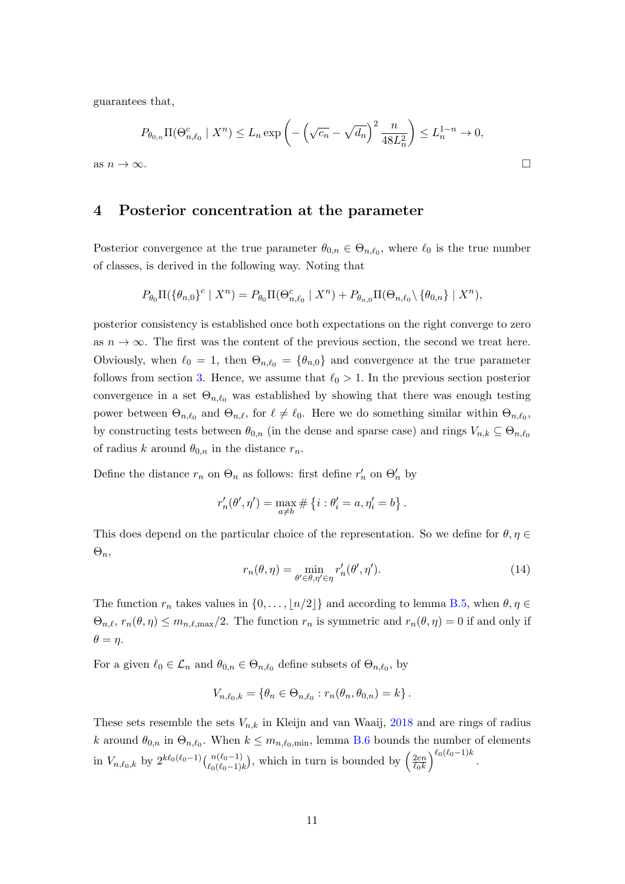guarantees that,

$$
P_{\theta_{0,n}} \Pi(\Theta_{n,\ell_0}^c \mid X^n) \le L_n \exp\left(-\left(\sqrt{c_n} - \sqrt{d_n}\right)^2 \frac{n}{48L_n^2}\right) \le L_n^{1-n} \to 0,
$$
as  $n \to \infty$ .

## <span id="page-10-0"></span>4 Posterior concentration at the parameter

Posterior convergence at the true parameter  $\theta_{0,n} \in \Theta_{n,\ell_0}$ , where  $\ell_0$  is the true number of classes, is derived in the following way. Noting that

$$
P_{\theta_0} \Pi(\{\theta_{n,0}\}^c \mid X^n) = P_{\theta_0} \Pi(\Theta_{n,\ell_0}^c \mid X^n) + P_{\theta_{n,0}} \Pi(\Theta_{n,\ell_0} \setminus \{\theta_{0,n}\} \mid X^n),
$$

posterior consistency is established once both expectations on the right converge to zero as  $n \to \infty$ . The first was the content of the previous section, the second we treat here. Obviously, when  $\ell_0 = 1$ , then  $\Theta_{n,\ell_0} = {\theta_{n,0}}$  and convergence at the true parameter follows from section [3.](#page-7-0) Hence, we assume that  $\ell_0 > 1$ . In the previous section posterior convergence in a set  $\Theta_{n,\ell_0}$  was established by showing that there was enough testing power between  $\Theta_{n,\ell_0}$  and  $\Theta_{n,\ell}$ , for  $\ell \neq \ell_0$ . Here we do something similar within  $\Theta_{n,\ell_0}$ , by constructing tests between  $\theta_{0,n}$  (in the dense and sparse case) and rings  $V_{n,k} \subseteq \Theta_{n,\ell_0}$ of radius k around  $\theta_{0,n}$  in the distance  $r_n$ .

Define the distance  $r_n$  on  $\Theta_n$  as follows: first define  $r'_n$  on  $\Theta'_n$  by

$$
r'_{n}(\theta', \eta') = \max_{a \neq b} \# \{i : \theta'_{i} = a, \eta'_{i} = b\}.
$$

This does depend on the particular choice of the representation. So we define for  $\theta, \eta \in$  $\Theta_n$ 

<span id="page-10-2"></span>
$$
r_n(\theta, \eta) = \min_{\theta' \in \theta, \eta' \in \eta} r'_n(\theta', \eta'). \tag{14}
$$

The function  $r_n$  takes values in  $\{0, \ldots, \lfloor n/2 \rfloor\}$  and according to lemma [B.5,](#page-24-0) when  $\theta, \eta \in$  $\Theta_{n,\ell}, r_n(\theta, \eta) \leq m_{n,\ell,\max}/2.$  The function  $r_n$  is symmetric and  $r_n(\theta, \eta) = 0$  if and only if  $\theta = \eta$ .

For a given  $\ell_0 \in \mathcal{L}_n$  and  $\theta_{0,n} \in \Theta_{n,\ell_0}$  define subsets of  $\Theta_{n,\ell_0}$ , by

$$
V_{n,\ell_0,k} = \{\theta_n \in \Theta_{n,\ell_0} : r_n(\theta_n, \theta_{0,n}) = k\}.
$$

<span id="page-10-1"></span>These sets resemble the sets  $V_{n,k}$  in Kleijn and van Waaij, [2018](#page-27-9) and are rings of radius k around  $\theta_{0,n}$  in  $\Theta_{n,\ell_0}$ . When  $k \leq m_{n,\ell_0,\text{min}}$ , lemma [B.6](#page-24-1) bounds the number of elements in  $V_{n,\ell_0,k}$  by  $2^{k\ell_0(\ell_0-1)}\binom{n(\ell_0-1)}{\ell_0(\ell_0-1)k}$ , which in turn is bounded by  $\left(\frac{2en}{\ell_0k}\right)$  $\overline{\ell_0k}$  $\int^{\ell_0(\ell_0-1)k}$ .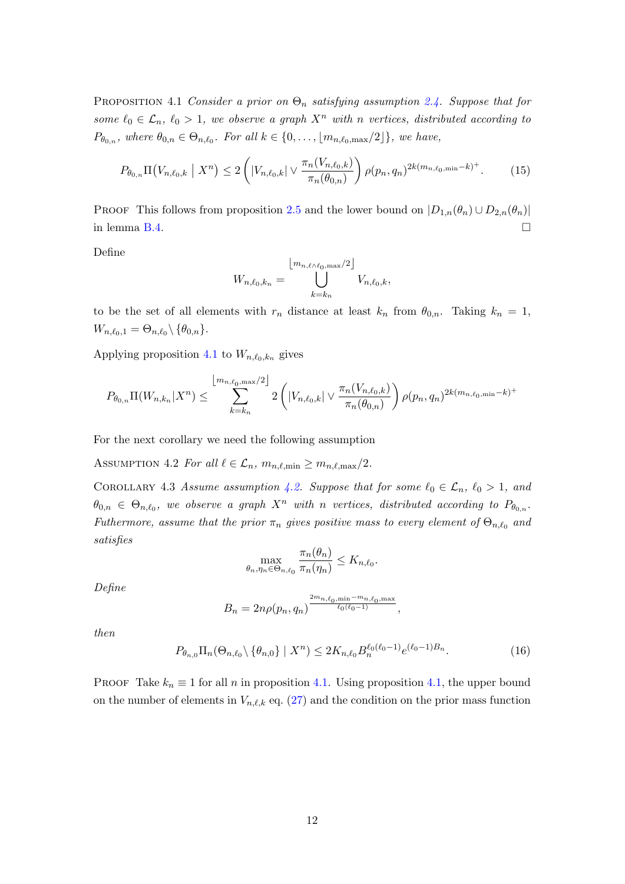PROPOSITION 4.1 Consider a prior on  $\Theta_n$  satisfying assumption [2.4.](#page-6-0) Suppose that for some  $\ell_0 \in \mathcal{L}_n$ ,  $\ell_0 > 1$ , we observe a graph  $X^n$  with n vertices, distributed according to  $P_{\theta_{0,n}}$ , where  $\theta_{0,n} \in \Theta_{n,\ell_0}$ . For all  $k \in \{0,\ldots,\lfloor m_{n,\ell_0,\max}/2 \rfloor\}$ , we have,

$$
P_{\theta_{0,n}}\Pi(V_{n,\ell_0,k} \mid X^n) \le 2\left(|V_{n,\ell_0,k}| \vee \frac{\pi_n(V_{n,\ell_0,k})}{\pi_n(\theta_{0,n})}\right)\rho(p_n,q_n)^{2k(m_{n,\ell_0,\min}-k)^+}.\tag{15}
$$

PROOF This follows from proposition [2.5](#page-6-1) and the lower bound on  $|D_{1,n}(\theta_n) \cup D_{2,n}(\theta_n)|$ in lemma [B.4.](#page-23-1)  $\Box$ 

Define

$$
W_{n,\ell_0,k_n} = \bigcup_{k=k_n}^{\lfloor m_{n,\ell\wedge\ell_0,\max}/2 \rfloor} V_{n,\ell_0,k},
$$

to be the set of all elements with  $r_n$  distance at least  $k_n$  from  $\theta_{0,n}$ . Taking  $k_n = 1$ ,  $W_{n,\ell_0,1} = \Theta_{n,\ell_0} \backslash \{\theta_{0,n}\}.$ 

Applying proposition [4.1](#page-10-1) to  $W_{n,\ell_0,k_n}$  gives

$$
P_{\theta_{0,n}}\Pi(W_{n,k_n}|X^n) \leq \sum_{k=k_n}^{\lfloor m_{n,\ell_0,\max}/2 \rfloor} 2\left( |V_{n,\ell_0,k}| \vee \frac{\pi_n(V_{n,\ell_0,k})}{\pi_n(\theta_{0,n})} \right) \rho(p_n,q_n)^{2k(m_{n,\ell_0,\min}-k)^+}
$$

<span id="page-11-0"></span>For the next corollary we need the following assumption

ASSUMPTION 4.2 For all  $\ell \in \mathcal{L}_n$ ,  $m_{n,\ell,\text{min}} \geq m_{n,\ell,\text{max}}/2$ .

<span id="page-11-1"></span>COROLLARY 4.3 Assume assumption [4.2.](#page-11-0) Suppose that for some  $\ell_0 \in \mathcal{L}_n$ ,  $\ell_0 > 1$ , and  $\theta_{0,n} \in \Theta_{n,\ell_0}$ , we observe a graph  $X^n$  with n vertices, distributed according to  $P_{\theta_{0,n}}$ . Futhermore, assume that the prior  $\pi_n$  gives positive mass to every element of  $\Theta_{n,\ell_0}$  and satisfies

$$
\max_{\theta_n, \eta_n \in \Theta_{n,\ell_0}} \frac{\pi_n(\theta_n)}{\pi_n(\eta_n)} \le K_{n,\ell_0}.
$$

Define

$$
B_n = 2n\rho(p_n, q_n)^{\frac{2m_{n,\ell_0, \min} - m_{n,\ell_0, \max}}{\ell_0(\ell_0 - 1)}},
$$

then

$$
P_{\theta_{n,0}} \Pi_n(\Theta_{n,\ell_0} \setminus \{\theta_{n,0}\} \mid X^n) \le 2K_{n,\ell_0} B_n^{\ell_0(\ell_0 - 1)} e^{(\ell_0 - 1)B_n}.
$$
 (16)

PROOF Take  $k_n \equiv 1$  for all n in proposition [4.1.](#page-10-1) Using proposition [4.1,](#page-10-1) the upper bound on the number of elements in  $V_{n,\ell,k}$  eq. [\(27\)](#page-24-2) and the condition on the prior mass function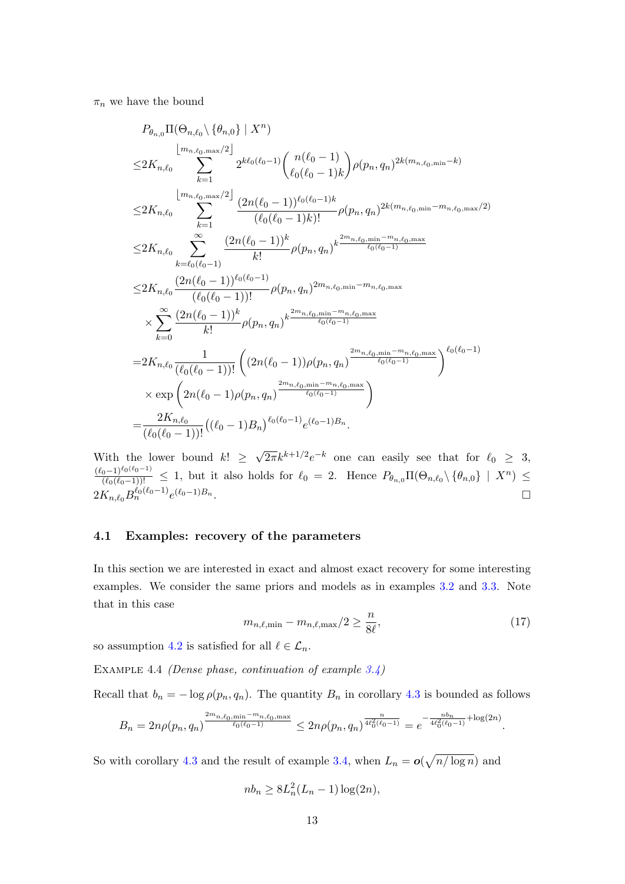$\pi_n$  we have the bound

$$
P_{\theta_{n,0}} \Pi(\Theta_{n,\ell_0} \setminus \{\theta_{n,0}\} \mid X^n)
$$
\n
$$
\leq 2K_{n,\ell_0} \sum_{k=1}^{\lfloor m_{n,\ell_0,\max}/2 \rfloor} 2^{k\ell_0(\ell_0-1)} \binom{n(\ell_0-1)}{\ell_0(\ell_0-1)k} \rho(p_n, q_n)^{2k(m_{n,\ell_0,\min}-k)}
$$
\n
$$
\leq 2K_{n,\ell_0} \sum_{k=1}^{\lfloor m_{n,\ell_0,\max}/2 \rfloor} \frac{(2n(\ell_0-1))^{\ell_0(\ell_0-1)k}}{(\ell_0(\ell_0-1)k)!} \rho(p_n, q_n)^{2k(m_{n,\ell_0,\min}-m_{n,\ell_0,\max}/2)}
$$
\n
$$
\leq 2K_{n,\ell_0} \sum_{k=\ell_0(\ell_0-1)}^{\infty} \frac{(2n(\ell_0-1))^k}{k!} \rho(p_n, q_n)^{k \frac{2m_{n,\ell_0,\min}-m_{n,\ell_0,\max}}{\ell_0(\ell_0-1)}}{\binom{\ell_0(\ell_0-1)!}{(\ell_0(\ell_0-1))!}} \rho(p_n, q_n)^{2m_{n,\ell_0,\min}-m_{n,\ell_0,\max}}
$$
\n
$$
\times \sum_{k=0}^{\infty} \frac{(2n(\ell_0-1))^k}{k!} \rho(p_n, q_n)^{k \frac{2m_{n,\ell_0,\min}-m_{n,\ell_0,\max}}{\ell_0(\ell_0-1)}}
$$
\n
$$
= 2K_{n,\ell_0} \frac{1}{(\ell_0(\ell_0-1))!} \left( (2n(\ell_0-1)) \rho(p_n, q_n)^{\frac{2m_{n,\ell_0,\min}-m_{n,\ell_0,\max}}{\ell_0(\ell_0-1)}} \right)^{\ell_0(\ell_0-1)}
$$
\n
$$
\times \exp\left( 2n(\ell_0-1) \rho(p_n, q_n)^{\frac{2m_{n,\ell_0,\min}-m_{n,\ell_0,\max}}{\ell_0(\ell_0-1)}} \right)
$$
\n
$$
= \frac{2K_{n,\ell_0} (2n(\ell_0-1)) \rho(p_n, q_n)^{2m_{n,\ell_0,\min}-m_{n,\ell_0,\max}}{\binom{\ell_
$$

With the lower bound  $k! \geq$  $\sqrt{2\pi}k^{k+1/2}e^{-k}$  one can easily see that for  $\ell_0 \geq 3$ ,  $\frac{(\ell_0-1)^{\ell_0(\ell_0-1)}}{(\ell_0(\ell_0-1))!} \leq 1$ , but it also holds for  $\ell_0 = 2$ . Hence  $P_{\theta_{n,0}}\Pi(\Theta_{n,\ell_0}\setminus{\theta_{n,0}}\mid X^n) \leq$  $2K_{n,\ell_0}B_n^{\ell_0(\ell_0-1)}e^{(\ell_0-1)B_n}.$ 

### 4.1 Examples: recovery of the parameters

In this section we are interested in exact and almost exact recovery for some interesting examples. We consider the same priors and models as in examples [3.2](#page-8-4) and [3.3.](#page-8-5) Note that in this case

$$
m_{n,\ell,\min} - m_{n,\ell,\max}/2 \ge \frac{n}{8\ell},\tag{17}
$$

<span id="page-12-0"></span>so assumption [4.2](#page-11-0) is satisfied for all  $\ell \in \mathcal{L}_n$ .

Example 4.4 (Dense phase, continuation of example [3.4\)](#page-8-0)

Recall that  $b_n = -\log \rho(p_n, q_n)$ . The quantity  $B_n$  in corollary [4.3](#page-11-1) is bounded as follows

$$
B_n = 2n\rho(p_n, q_n) \frac{\sum_{n=1}^{\infty} a_n \sin^{-m} n \cdot \ell_0 \cdot \max}{\ell_0(\ell_0 - 1)} \leq 2n\rho(p_n, q_n) \frac{\sum_{n=1}^{\infty} a_n \cos^{-m} n \cdot \ell_0 \cdot \min\{2n\}}{4\ell_0^2(\ell_0 - 1)} = e^{-\frac{nb_n}{4\ell_0^2(\ell_0 - 1)} + \log(2n)}.
$$

So with corollary [4.3](#page-11-1) and the result of example [3.4,](#page-8-0) when  $L_n = o(\sqrt{n/\log n})$  and

$$
nb_n \geq 8L_n^2(L_n - 1)\log(2n),
$$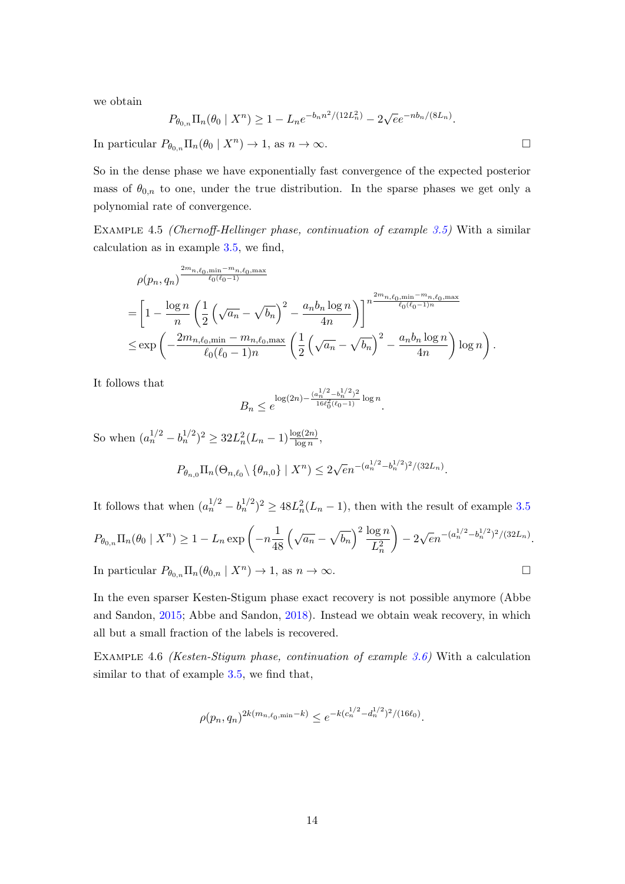we obtain

$$
P_{\theta_{0,n}} \Pi_n(\theta_0 \mid X^n) \ge 1 - L_n e^{-b_n n^2/(12L_n^2)} - 2\sqrt{e}e^{-nb_n/(8L_n)}.
$$

In particular  $P_{\theta_{0,n}}\Pi_n(\theta_0 | X^n) \to 1$ , as  $n \to \infty$ .

So in the dense phase we have exponentially fast convergence of the expected posterior mass of  $\theta_{0,n}$  to one, under the true distribution. In the sparse phases we get only a polynomial rate of convergence.

<span id="page-13-0"></span>Example 4.5 (Chernoff-Hellinger phase, continuation of example [3.5\)](#page-9-1) With a similar calculation as in example [3.5,](#page-9-1) we find,

$$
\rho(p_n, q_n) \frac{\sum_{l=0}^{2m_n, \ell_0, \min-m_n, \ell_0, \max}}{\ell_0(\ell_0 - 1)} \newline = \left[1 - \frac{\log n}{n} \left(\frac{1}{2} \left(\sqrt{a_n} - \sqrt{b_n}\right)^2 - \frac{a_n b_n \log n}{4n}\right)\right]^{n} \frac{\sum_{l=0}^{2m_n, \ell_0, \min-m_n, \ell_0, \max}}{\ell_0(\ell_0 - 1)^n} \newline \le \exp\left(-\frac{2m_{n, \ell_0, \min} - m_{n, \ell_0, \max}}{\ell_0(\ell_0 - 1)n} \left(\frac{1}{2} \left(\sqrt{a_n} - \sqrt{b_n}\right)^2 - \frac{a_n b_n \log n}{4n}\right) \log n\right).
$$

It follows that

$$
B_n \le e^{\log(2n) - \frac{(a_n^{1/2} - b_n^{1/2})^2}{16\ell_0^2(\ell_0 - 1)} \log n}.
$$

So when  $(a_n^{1/2} - b_n^{1/2})^2 \ge 32L_n^2(L_n - 1) \frac{\log(2n)}{\log n},$  $P_{\theta_{n,0}}\Pi_n(\Theta_{n,\ell_0}\setminus{\theta_{n,0}} | X^n) \leq 2$  $\sqrt{e}n^{-(a_n^{1/2}-b_n^{1/2})^2/(32L_n)}$ .

It follows that when  $(a_n^{1/2} - b_n^{1/2})^2 \ge 48L_n^2(L_n - 1)$ , then with the result of example [3.5](#page-9-1)  $P_{\theta_{0,n}}\Pi_n(\theta_0 | X^n) \geq 1 - L_n \exp \left(-n \frac{1}{48}\right)$ 48  $\left(\sqrt{a_n}-\sqrt{b_n}\right)^2\frac{\log n}{\sqrt{n}}$  $L_n^2$  $-2$  $\sqrt{e}n^{-(a_n^{1/2}-b_n^{1/2})^2/(32L_n)}$ .

In particular  $P_{\theta_{0,n}}\Pi_n(\theta_{0,n} | X^n) \to 1$ , as  $n \to \infty$ .

In the even sparser Kesten-Stigum phase exact recovery is not possible anymore (Abbe and Sandon, [2015;](#page-27-3) Abbe and Sandon, [2018\)](#page-27-4). Instead we obtain weak recovery, in which all but a small fraction of the labels is recovered.

<span id="page-13-1"></span>Example 4.6 (Kesten-Stigum phase, continuation of example [3.6\)](#page-9-2) With a calculation similar to that of example [3.5,](#page-9-1) we find that,

$$
\rho(p_n, q_n)^{2k(m_{n,\ell_0, \min} - k)} \le e^{-k(c_n^{1/2} - d_n^{1/2})^2/(16\ell_0)}.
$$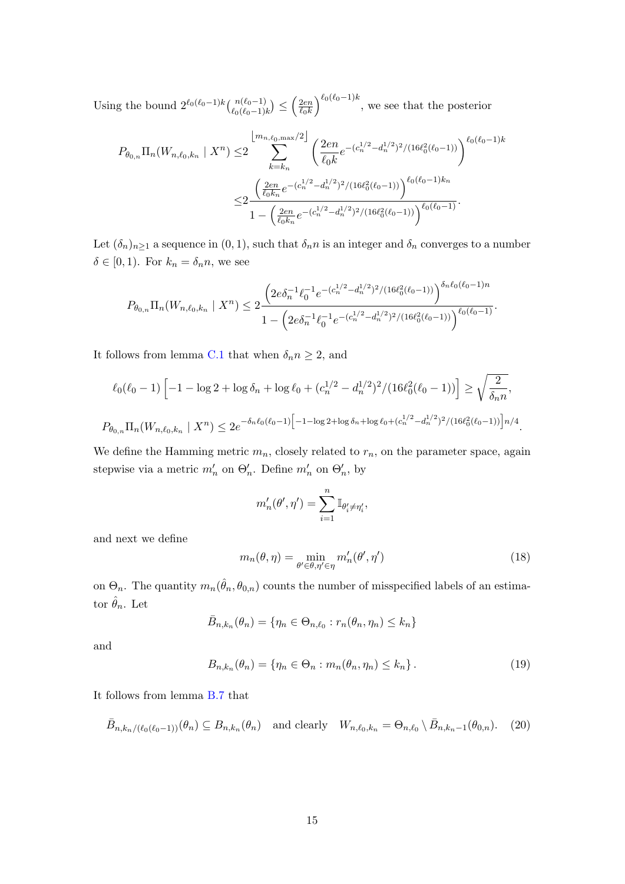Using the bound  $2^{\ell_0(\ell_0-1)k} \binom{n(\ell_0-1)}{\ell_0(\ell_0-1)k} \leq \left(\frac{2en}{\ell_0k}\right)$  $\ell_0$ k  $\int_{0}^{\ell_0(\ell_0-1)k}$ , we see that the posterior

$$
P_{\theta_{0,n}} \Pi_n(W_{n,\ell_0,k_n} \mid X^n) \leq 2 \sum_{k=k_n}^{\lfloor m_{n,\ell_0,\max}/2 \rfloor} \left( \frac{2en}{\ell_0 k} e^{-(c_n^{1/2} - d_n^{1/2})^2/(16\ell_0^2(\ell_0 - 1))} \right)^{\ell_0(\ell_0 - 1)k}
$$

$$
\leq 2 \frac{\left( \frac{2en}{\ell_0 k_n} e^{-(c_n^{1/2} - d_n^{1/2})^2/(16\ell_0^2(\ell_0 - 1))} \right)^{\ell_0(\ell_0 - 1)k_n}}{1 - \left( \frac{2en}{\ell_0 k_n} e^{-(c_n^{1/2} - d_n^{1/2})^2/(16\ell_0^2(\ell_0 - 1))} \right)^{\ell_0(\ell_0 - 1)}}.
$$

Let  $(\delta_n)_{n\geq 1}$  a sequence in  $(0, 1)$ , such that  $\delta_n n$  is an integer and  $\delta_n$  converges to a number  $\delta \in [0, 1)$ . For  $k_n = \delta_n n$ , we see

$$
P_{\theta_{0,n}}\Pi_n(W_{n,\ell_0,k_n}\mid X^n)\leq 2\frac{\left(2e\delta_n^{-1}\ell_0^{-1}e^{-(c_n^{1/2}-d_n^{1/2})^2/(16\ell_0^2(\ell_0-1))}\right)^{\delta_n\ell_0(\ell_0-1)n}}{1-\left(2e\delta_n^{-1}\ell_0^{-1}e^{-(c_n^{1/2}-d_n^{1/2})^2/(16\ell_0^2(\ell_0-1))}\right)^{\ell_0(\ell_0-1)}}.
$$

It follows from lemma [C.1](#page-26-4) that when  $\delta_n n \geq 2$ , and

$$
\ell_0(\ell_0 - 1) \left[ -1 - \log 2 + \log \delta_n + \log \ell_0 + (c_n^{1/2} - d_n^{1/2})^2 / (16 \ell_0^2 (\ell_0 - 1)) \right] \ge \sqrt{\frac{2}{\delta_n n}},
$$
  

$$
P_{\theta_{0,n}} \Pi_n(W_{n,\ell_0,k_n} \mid X^n) \le 2e^{-\delta_n \ell_0(\ell_0 - 1)} \left[ -1 - \log 2 + \log \delta_n + \log \ell_0 + (c_n^{1/2} - d_n^{1/2})^2 / (16 \ell_0^2 (\ell_0 - 1)) \right] n/4.
$$

We define the Hamming metric  $m_n$ , closely related to  $r_n$ , on the parameter space, again stepwise via a metric  $m'_n$  on  $\Theta'_n$ . Define  $m'_n$  on  $\Theta'_n$ , by

$$
m'_n(\theta',\eta')=\sum_{i=1}^n\mathbb{I}_{\theta'_i\neq\eta'_i},
$$

and next we define

$$
m_n(\theta, \eta) = \min_{\theta' \in \theta, \eta' \in \eta} m'_n(\theta', \eta')
$$
\n(18)

on  $\Theta_n$ . The quantity  $m_n(\hat{\theta}_n, \theta_{0,n})$  counts the number of misspecified labels of an estimator  $\hat{\theta}_n$ . Let

$$
\bar{B}_{n,k_n}(\theta_n) = \{ \eta_n \in \Theta_{n,\ell_0} : r_n(\theta_n, \eta_n) \le k_n \}
$$

and

<span id="page-14-0"></span>
$$
B_{n,k_n}(\theta_n) = \{ \eta_n \in \Theta_n : m_n(\theta_n, \eta_n) \le k_n \}.
$$
 (19)

It follows from lemma [B.7](#page-25-0) that

$$
\bar{B}_{n,k_n/(\ell_0(\ell_0-1))}(\theta_n) \subseteq B_{n,k_n}(\theta_n) \quad \text{and clearly} \quad W_{n,\ell_0,k_n} = \Theta_{n,\ell_0} \setminus \bar{B}_{n,k_n-1}(\theta_{0,n}). \tag{20}
$$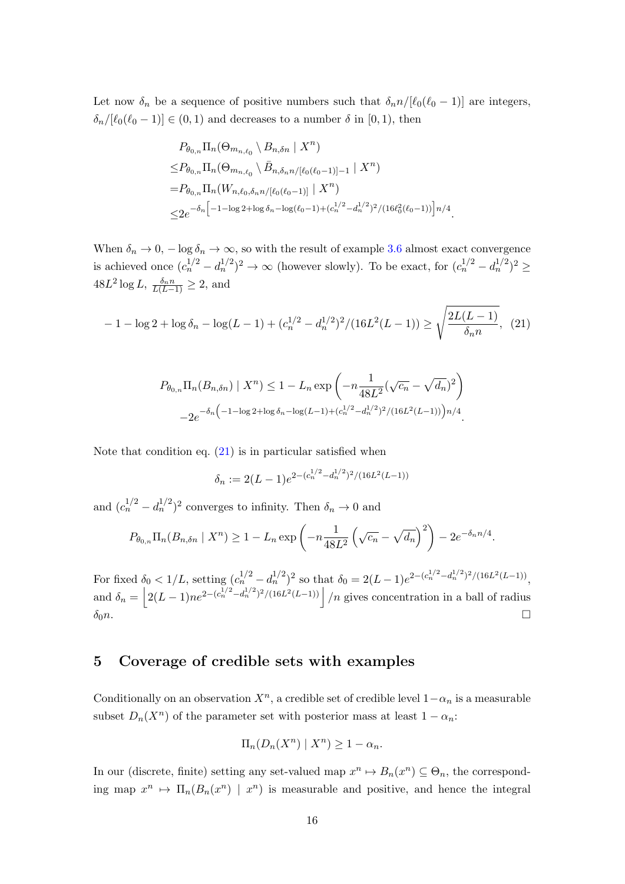Let now  $\delta_n$  be a sequence of positive numbers such that  $\delta_n n/[\ell_0(\ell_0 - 1)]$  are integers,  $\delta_n/[\ell_0(\ell_0 - 1)] \in (0, 1)$  and decreases to a number  $\delta$  in [0, 1], then

$$
P_{\theta_{0,n}} \Pi_n(\Theta_{m_{n,\ell_0}} \setminus B_{n,\delta n} \mid X^n)
$$
  
\n
$$
\leq P_{\theta_{0,n}} \Pi_n(\Theta_{m_{n,\ell_0}} \setminus \bar{B}_{n,\delta_n n/[\ell_0(\ell_0-1)]-1} \mid X^n)
$$
  
\n
$$
= P_{\theta_{0,n}} \Pi_n(W_{n,\ell_0,\delta_n n/[\ell_0(\ell_0-1)]} \mid X^n)
$$
  
\n
$$
\leq 2e^{-\delta_n \left[ -1 - \log 2 + \log \delta_n - \log(\ell_0-1) + (c_n^{1/2} - d_n^{1/2})^2 / (16\ell_0^2(\ell_0-1)) \right] n/4}.
$$

When  $\delta_n \to 0$ ,  $-\log \delta_n \to \infty$ , so with the result of example [3.6](#page-9-2) almost exact convergence is achieved once  $(c_n^{1/2} - d_n^{1/2})^2 \to \infty$  (however slowly). To be exact, for  $(c_n^{1/2} - d_n^{1/2})^2 \ge$  $48L^2 \log L, \frac{\delta_n n}{L(L-1)} \geq 2$ , and

<span id="page-15-1"></span>
$$
-1 - \log 2 + \log \delta_n - \log(L - 1) + (c_n^{1/2} - d_n^{1/2})^2 / (16L^2(L - 1)) \ge \sqrt{\frac{2L(L - 1)}{\delta_n n}}, \tag{21}
$$

$$
P_{\theta_{0,n}} \Pi_n(B_{n,\delta n}) \mid X^n) \le 1 - L_n \exp\left(-n \frac{1}{48L^2} (\sqrt{c_n} - \sqrt{d_n})^2\right)
$$

$$
-2e^{-\delta_n \left(-1 - \log 2 + \log \delta_n - \log(L-1) + (c_n^{1/2} - d_n^{1/2})^2 / (16L^2(L-1))\right) n/4}.
$$

Note that condition eq.  $(21)$  is in particular satisfied when

$$
\delta_n := 2(L-1)e^{2-(c_n^{1/2}-d_n^{1/2})^2/(16L^2(L-1))}
$$

and  $(c_n^{1/2} - d_n^{1/2})^2$  converges to infinity. Then  $\delta_n \to 0$  and

$$
P_{\theta_{0,n}} \Pi_n(B_{n,\delta n} \mid X^n) \ge 1 - L_n \exp\left(-n \frac{1}{48L^2} \left(\sqrt{c_n} - \sqrt{d_n}\right)^2\right) - 2e^{-\delta_n n/4}.
$$

For fixed  $\delta_0 < 1/L$ , setting  $(c_n^{1/2} - d_n^{1/2})^2$  so that  $\delta_0 = 2(L-1)e^{2-(c_n^{1/2} - d_n^{1/2})^2/(16L^2(L-1))}$ , and  $\delta_n = |2(L-1)ne^{2-(c_n^{1/2}-d_n^{1/2})^2/(16L^2(L-1))}|/n$  gives concentration in a ball of radius  $\delta_0 n$ .

# <span id="page-15-0"></span>5 Coverage of credible sets with examples

Conditionally on an observation  $X^n$ , a credible set of credible level  $1-\alpha_n$  is a measurable subset  $D_n(X^n)$  of the parameter set with posterior mass at least  $1 - \alpha_n$ :

$$
\Pi_n(D_n(X^n) \mid X^n) \ge 1 - \alpha_n.
$$

In our (discrete, finite) setting any set-valued map  $x^n \mapsto B_n(x^n) \subseteq \Theta_n$ , the corresponding map  $x^n \mapsto \Pi_n(B_n(x^n) \mid x^n)$  is measurable and positive, and hence the integral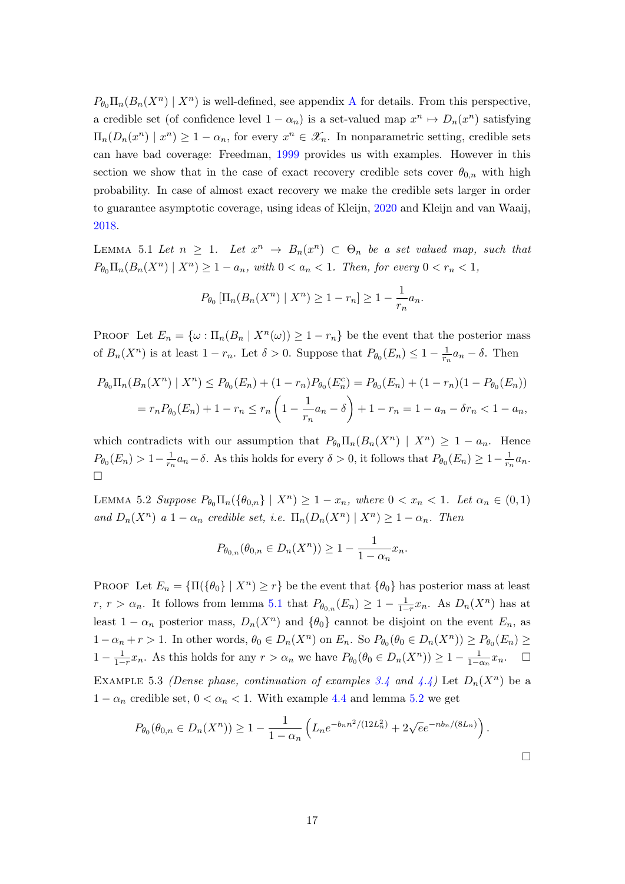$P_{\theta_0} \Pi_n(B_n(X^n) | X^n)$  is well-defined, see appendix [A](#page-20-0) for details. From this perspective, a credible set (of confidence level  $1 - \alpha_n$ ) is a set-valued map  $x^n \mapsto D_n(x^n)$  satisfying  $\Pi_n(D_n(x^n) \mid x^n) \geq 1 - \alpha_n$ , for every  $x^n \in \mathscr{X}_n$ . In nonparametric setting, credible sets can have bad coverage: Freedman, [1999](#page-27-10) provides us with examples. However in this section we show that in the case of exact recovery credible sets cover  $\theta_{0,n}$  with high probability. In case of almost exact recovery we make the credible sets larger in order to guarantee asymptotic coverage, using ideas of Kleijn, [2020](#page-27-11) and Kleijn and van Waaij, [2018.](#page-27-9)

<span id="page-16-0"></span>LEMMA 5.1 Let  $n \geq 1$ . Let  $x^n \to B_n(x^n) \subset \Theta_n$  be a set valued map, such that  $P_{\theta_0} \Pi_n(B_n(X^n) | X^n) \geq 1 - a_n$ , with  $0 < a_n < 1$ . Then, for every  $0 < r_n < 1$ ,

$$
P_{\theta_0} \left[ \Pi_n(B_n(X^n) \mid X^n) \ge 1 - r_n \right] \ge 1 - \frac{1}{r_n} a_n.
$$

PROOF Let  $E_n = \{ \omega : \Pi_n(B_n \mid X^n(\omega)) \geq 1 - r_n \}$  be the event that the posterior mass of  $B_n(X^n)$  is at least  $1-r_n$ . Let  $\delta > 0$ . Suppose that  $P_{\theta_0}(E_n) \leq 1-\frac{1}{r_n}$  $\frac{1}{r_n}a_n - \delta$ . Then

$$
P_{\theta_0} \Pi_n(B_n(X^n) \mid X^n) \le P_{\theta_0}(E_n) + (1 - r_n) P_{\theta_0}(E_n^c) = P_{\theta_0}(E_n) + (1 - r_n)(1 - P_{\theta_0}(E_n))
$$
  
=  $r_n P_{\theta_0}(E_n) + 1 - r_n \le r_n \left(1 - \frac{1}{r_n} a_n - \delta\right) + 1 - r_n = 1 - a_n - \delta r_n < 1 - a_n$ ,

which contradicts with our assumption that  $P_{\theta_0} \Pi_n(B_n(X^n) \mid X^n) \geq 1 - a_n$ . Hence  $P_{\theta_0}(E_n) > 1 - \frac{1}{r_n}$  $\frac{1}{r_n}a_n-\delta$ . As this holds for every  $\delta>0$ , it follows that  $P_{\theta_0}(E_n)\geq 1-\frac{1}{r_n}$  $\frac{1}{r_n}a_n$ .  $\Box$ 

<span id="page-16-1"></span>LEMMA 5.2 Suppose  $P_{\theta_0} \Pi_n(\{\theta_{0,n}\} \mid X^n) \geq 1 - x_n$ , where  $0 < x_n < 1$ . Let  $\alpha_n \in (0,1)$ and  $D_n(X^n)$  a  $1-\alpha_n$  credible set, i.e.  $\Pi_n(D_n(X^n) | X^n) \geq 1-\alpha_n$ . Then

$$
P_{\theta_{0,n}}(\theta_{0,n} \in D_n(X^n)) \ge 1 - \frac{1}{1 - \alpha_n} x_n.
$$

PROOF Let  $E_n = {\Pi(\{\theta_0\} \mid X^n) \geq r\}$  be the event that  ${\theta_0}$  has posterior mass at least  $r, r > \alpha_n$ . It follows from lemma [5.1](#page-16-0) that  $P_{\theta_{0,n}}(E_n) \geq 1 - \frac{1}{1-r}x_n$ . As  $D_n(X^n)$  has at least  $1 - \alpha_n$  posterior mass,  $D_n(X^n)$  and  $\{\theta_0\}$  cannot be disjoint on the event  $E_n$ , as  $1-\alpha_n+r>1$ . In other words,  $\theta_0 \in D_n(X^n)$  on  $E_n$ . So  $P_{\theta_0}(\theta_0 \in D_n(X^n)) \ge P_{\theta_0}(E_n) \ge$ 1 −  $\frac{1}{1-r}x_n$ . As this holds for any  $r > \alpha_n$  we have  $P_{\theta_0}(\theta_0 \in D_n(X^n)) \ge 1 - \frac{1}{1-\alpha_n}x_n$ .  $\Box$ EXAMPLE 5.3 (Dense phase, continuation of examples [3.4](#page-8-0) and [4.4\)](#page-12-0) Let  $D_n(X^n)$  be a  $1 - \alpha_n$  credible set,  $0 < \alpha_n < 1$ . With example [4.4](#page-12-0) and lemma [5.2](#page-16-1) we get

$$
P_{\theta_0}(\theta_{0,n} \in D_n(X^n)) \ge 1 - \frac{1}{1 - \alpha_n} \left( L_n e^{-b_n n^2/(12L_n^2)} + 2\sqrt{e}e^{-nb_n/(8L_n)} \right).
$$

 $\Box$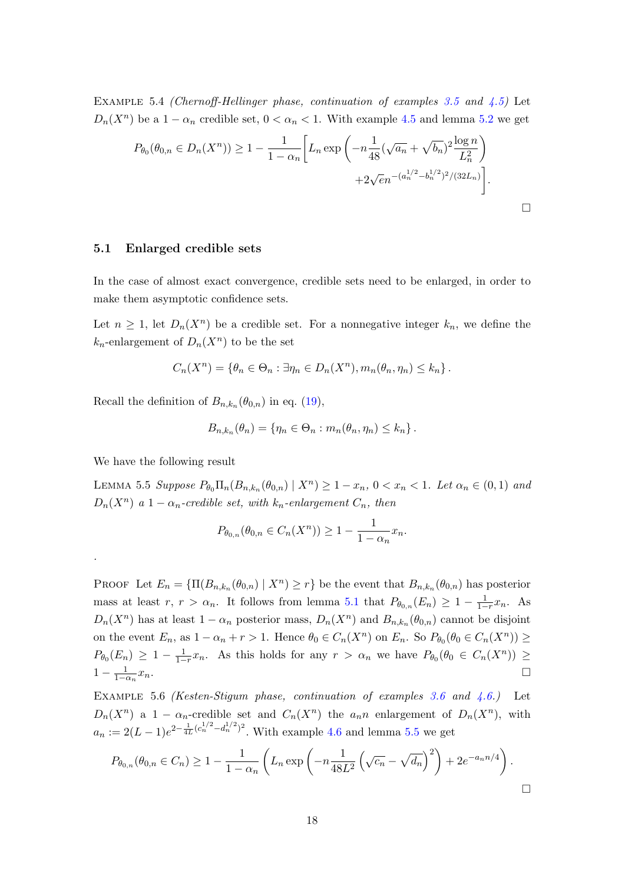EXAMPLE 5.4 (Chernoff-Hellinger phase, continuation of examples [3.5](#page-9-1) and  $\angle 4.5$ ) Let  $D_n(X^n)$  be a  $1 - \alpha_n$  credible set,  $0 < \alpha_n < 1$ . With example [4.5](#page-13-0) and lemma [5.2](#page-16-1) we get

$$
P_{\theta_0}(\theta_{0,n} \in D_n(X^n)) \ge 1 - \frac{1}{1 - \alpha_n} \left[ L_n \exp\left( -n \frac{1}{48} (\sqrt{a_n} + \sqrt{b_n})^2 \frac{\log n}{L_n^2} \right) + 2\sqrt{e_n} \left( \frac{a_n^{1/2} - b_n^{1/2}}{2} \right)^2 / (32L_n) \right].
$$

#### 5.1 Enlarged credible sets

In the case of almost exact convergence, credible sets need to be enlarged, in order to make them asymptotic confidence sets.

Let  $n \geq 1$ , let  $D_n(X^n)$  be a credible set. For a nonnegative integer  $k_n$ , we define the  $k_n$ -enlargement of  $D_n(X^n)$  to be the set

$$
C_n(X^n) = \{ \theta_n \in \Theta_n : \exists \eta_n \in D_n(X^n), m_n(\theta_n, \eta_n) \leq k_n \}.
$$

Recall the definition of  $B_{n,k_n}(\theta_{0,n})$  in eq. [\(19\)](#page-14-0),

$$
B_{n,k_n}(\theta_n) = \{ \eta_n \in \Theta_n : m_n(\theta_n, \eta_n) \le k_n \}.
$$

<span id="page-17-0"></span>We have the following result

.

LEMMA 5.5 Suppose  $P_{\theta_0} \Pi_n(B_{n,k_n}(\theta_{0,n}) | X^n) \geq 1 - x_n$ ,  $0 < x_n < 1$ . Let  $\alpha_n \in (0,1)$  and  $D_n(X^n)$  a 1 –  $\alpha_n$ -credible set, with  $k_n$ -enlargement  $C_n$ , then

$$
P_{\theta_{0,n}}(\theta_{0,n} \in C_n(X^n)) \ge 1 - \frac{1}{1 - \alpha_n} x_n.
$$

PROOF Let  $E_n = {\Pi(B_{n,k_n}(\theta_{0,n}) | X^n) \geq r}$  be the event that  $B_{n,k_n}(\theta_{0,n})$  has posterior mass at least  $r, r > \alpha_n$ . It follows from lemma [5.1](#page-16-0) that  $P_{\theta_{0,n}}(E_n) \geq 1 - \frac{1}{1-r}x_n$ . As  $D_n(X^n)$  has at least  $1 - \alpha_n$  posterior mass,  $D_n(X^n)$  and  $B_{n,k_n}(\theta_{0,n})$  cannot be disjoint on the event  $E_n$ , as  $1 - \alpha_n + r > 1$ . Hence  $\theta_0 \in C_n(X^n)$  on  $E_n$ . So  $P_{\theta_0}(\theta_0 \in C_n(X^n)) \ge$  $P_{\theta_0}(E_n) \geq 1 - \frac{1}{1-r}x_n$ . As this holds for any  $r > \alpha_n$  we have  $P_{\theta_0}(\theta_0 \in C_n(X^n)) \geq$  $1-\frac{1}{1-\alpha_n}$  $x_n$ .

EXAMPLE 5.6 (Kesten-Stigum phase, continuation of examples [3.6](#page-9-2) and  $(4.6.)$  $(4.6.)$  $(4.6.)$  Let  $D_n(X^n)$  a 1 –  $\alpha_n$ -credible set and  $C_n(X^n)$  the  $a_n n$  enlargement of  $D_n(X^n)$ , with  $a_n := 2(L-1)e^{2-\frac{1}{4L}(c_n^{1/2}-d_n^{1/2})^2}$ . With example [4.6](#page-13-1) and lemma [5.5](#page-17-0) we get

$$
P_{\theta_{0,n}}(\theta_{0,n} \in C_n) \ge 1 - \frac{1}{1 - \alpha_n} \left( L_n \exp \left( -n \frac{1}{48L^2} \left( \sqrt{c_n} - \sqrt{d_n} \right)^2 \right) + 2e^{-a_n n/4} \right).
$$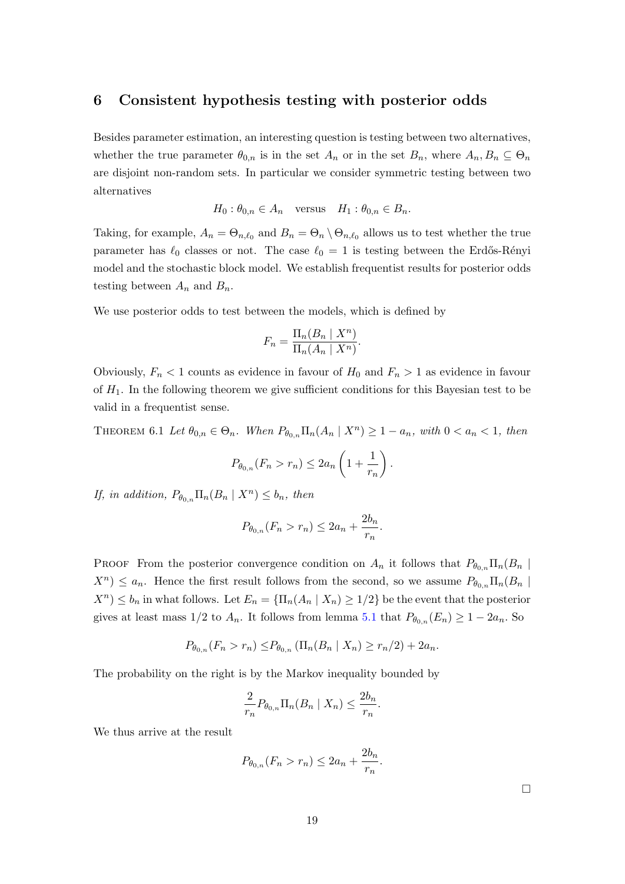## <span id="page-18-0"></span>6 Consistent hypothesis testing with posterior odds

Besides parameter estimation, an interesting question is testing between two alternatives, whether the true parameter  $\theta_{0,n}$  is in the set  $A_n$  or in the set  $B_n$ , where  $A_n, B_n \subseteq \Theta_n$ are disjoint non-random sets. In particular we consider symmetric testing between two alternatives

$$
H_0: \theta_{0,n} \in A_n
$$
 versus  $H_1: \theta_{0,n} \in B_n$ .

Taking, for example,  $A_n = \Theta_{n,\ell_0}$  and  $B_n = \Theta_n \setminus \Theta_{n,\ell_0}$  allows us to test whether the true parameter has  $\ell_0$  classes or not. The case  $\ell_0 = 1$  is testing between the Erdős-Rényi model and the stochastic block model. We establish frequentist results for posterior odds testing between  $A_n$  and  $B_n$ .

We use posterior odds to test between the models, which is defined by

$$
F_n = \frac{\Pi_n(B_n \mid X^n)}{\Pi_n(A_n \mid X^n)}.
$$

Obviously,  $F_n < 1$  counts as evidence in favour of  $H_0$  and  $F_n > 1$  as evidence in favour of  $H_1$ . In the following theorem we give sufficient conditions for this Bayesian test to be valid in a frequentist sense.

<span id="page-18-1"></span>THEOREM 6.1 Let  $\theta_{0,n} \in \Theta_n$ . When  $P_{\theta_{0,n}} \Pi_n(A_n \mid X^n) \geq 1 - a_n$ , with  $0 < a_n < 1$ , then

$$
P_{\theta_{0,n}}(F_n > r_n) \le 2a_n \left(1 + \frac{1}{r_n}\right).
$$

If, in addition,  $P_{\theta_{0,n}}\Pi_n(B_n \mid X^n) \leq b_n$ , then

$$
P_{\theta_{0,n}}(F_n > r_n) \le 2a_n + \frac{2b_n}{r_n}.
$$

PROOF From the posterior convergence condition on  $A_n$  it follows that  $P_{\theta_{0,n}}\Pi_n(B_n | B_n)$  $X^{n}$ )  $\leq a_{n}$ . Hence the first result follows from the second, so we assume  $P_{\theta_{0,n}}\Pi_{n}(B_{n})$  $X^{n}$ )  $\leq b_{n}$  in what follows. Let  $E_{n} = {\prod_{n}(A_{n} | X_{n}) \geq 1/2}$  be the event that the posterior gives at least mass  $1/2$  to  $A_n$ . It follows from lemma [5.1](#page-16-0) that  $P_{\theta_{0,n}}(E_n) \geq 1-2a_n$ . So

$$
P_{\theta_{0,n}}(F_n > r_n) \le P_{\theta_{0,n}} \left( \Pi_n(B_n \mid X_n) \ge r_n/2 \right) + 2a_n.
$$

The probability on the right is by the Markov inequality bounded by

$$
\frac{2}{r_n} P_{\theta_{0,n}} \Pi_n(B_n \mid X_n) \le \frac{2b_n}{r_n}.
$$

We thus arrive at the result

$$
P_{\theta_{0,n}}(F_n > r_n) \le 2a_n + \frac{2b_n}{r_n}
$$

.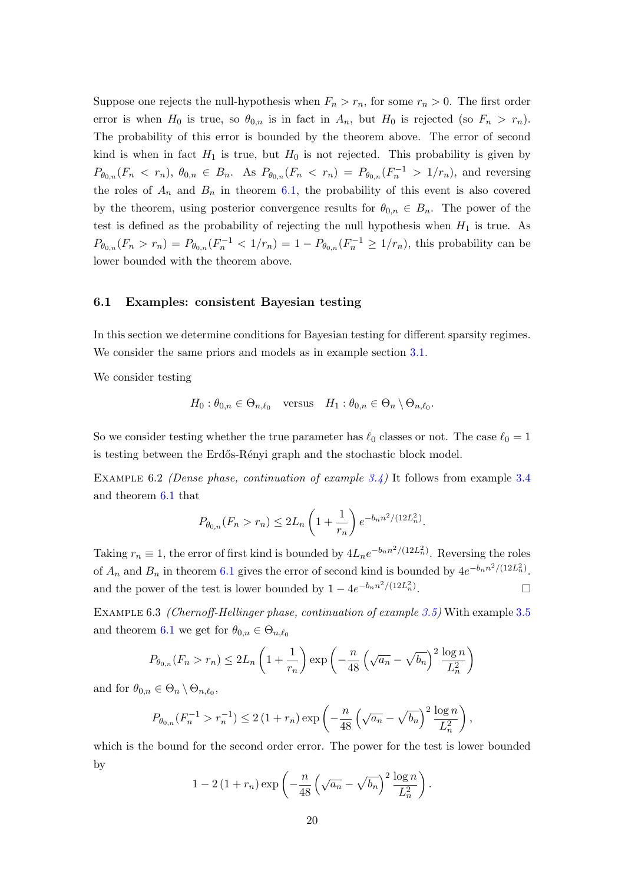Suppose one rejects the null-hypothesis when  $F_n > r_n$ , for some  $r_n > 0$ . The first order error is when  $H_0$  is true, so  $\theta_{0,n}$  is in fact in  $A_n$ , but  $H_0$  is rejected (so  $F_n > r_n$ ). The probability of this error is bounded by the theorem above. The error of second kind is when in fact  $H_1$  is true, but  $H_0$  is not rejected. This probability is given by  $P_{\theta_{0,n}}(F_n \leq r_n), \ \theta_{0,n} \in B_n$ . As  $P_{\theta_{0,n}}(F_n \leq r_n) = P_{\theta_{0,n}}(F_n^{-1} > 1/r_n)$ , and reversing the roles of  $A_n$  and  $B_n$  in theorem [6.1,](#page-18-1) the probability of this event is also covered by the theorem, using posterior convergence results for  $\theta_{0,n} \in B_n$ . The power of the test is defined as the probability of rejecting the null hypothesis when  $H_1$  is true. As  $P_{\theta_{0,n}}(F_n > r_n) = P_{\theta_{0,n}}(F_n^{-1} < 1/r_n) = 1 - P_{\theta_{0,n}}(F_n^{-1} \ge 1/r_n)$ , this probability can be lower bounded with the theorem above.

#### 6.1 Examples: consistent Bayesian testing

In this section we determine conditions for Bayesian testing for different sparsity regimes. We consider the same priors and models as in example section  $3.1$ .

We consider testing

$$
H_0: \theta_{0,n} \in \Theta_{n,\ell_0} \quad \text{versus} \quad H_1: \theta_{0,n} \in \Theta_n \setminus \Theta_{n,\ell_0}.
$$

So we consider testing whether the true parameter has  $\ell_0$  classes or not. The case  $\ell_0 = 1$ is testing between the Erdős-Rényi graph and the stochastic block model.

Example 6.2 (Dense phase, continuation of example [3.4\)](#page-8-0) It follows from example [3.4](#page-8-0) and theorem [6.1](#page-18-1) that

$$
P_{\theta_{0,n}}(F_n > r_n) \le 2L_n \left(1 + \frac{1}{r_n}\right) e^{-b_n n^2/(12L_n^2)}.
$$

Taking  $r_n \equiv 1$ , the error of first kind is bounded by  $4L_ne^{-b_n n^2/(12L_n^2)}$ . Reversing the roles of  $A_n$  and  $B_n$  in theorem [6.1](#page-18-1) gives the error of second kind is bounded by  $4e^{-b_n n^2/(12L_n^2)}$ . and the power of the test is lower bounded by  $1 - 4e^{-b_n n^2/(12L_n^2)}$ .

Example 6.3 (Chernoff-Hellinger phase, continuation of example [3.5\)](#page-9-1) With example [3.5](#page-9-1) and theorem [6.1](#page-18-1) we get for  $\theta_{0,n} \in \Theta_{n,\ell_0}$ 

$$
P_{\theta_{0,n}}(F_n > r_n) \le 2L_n \left(1 + \frac{1}{r_n}\right) \exp\left(-\frac{n}{48} \left(\sqrt{a_n} - \sqrt{b_n}\right)^2 \frac{\log n}{L_n^2}\right)
$$

and for  $\theta_{0,n} \in \Theta_n \setminus \Theta_{n,\ell_0},$ 

$$
P_{\theta_{0,n}}(F_n^{-1} > r_n^{-1}) \le 2(1+r_n) \exp\left(-\frac{n}{48} \left(\sqrt{a_n} - \sqrt{b_n}\right)^2 \frac{\log n}{L_n^2}\right),\,
$$

which is the bound for the second order error. The power for the test is lower bounded by

$$
1 - 2\left(1 + r_n\right) \exp\left(-\frac{n}{48} \left(\sqrt{a_n} - \sqrt{b_n}\right)^2 \frac{\log n}{L_n^2}\right).
$$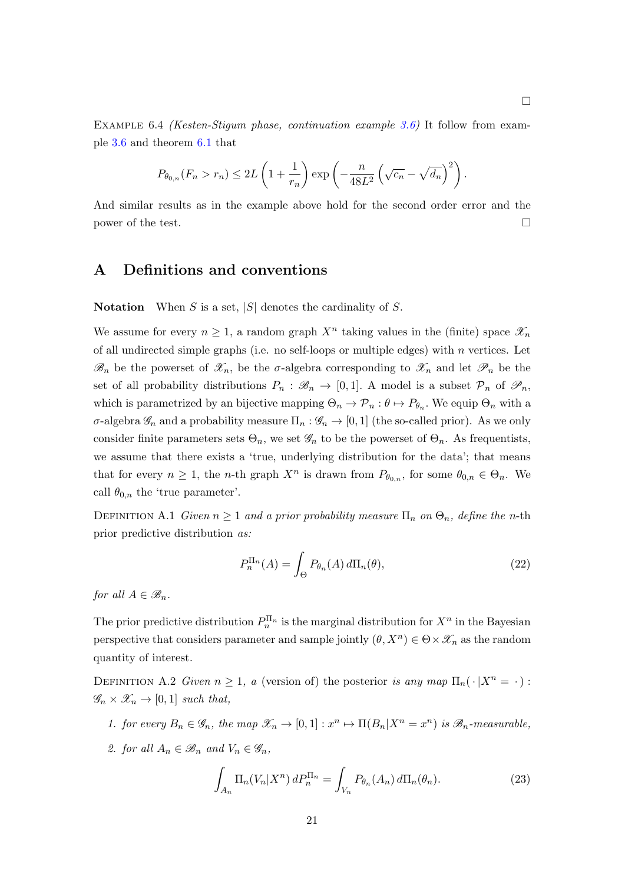EXAMPLE 6.4 *(Kesten-Stigum phase, continuation example [3.6\)](#page-9-2)* It follow from example [3.6](#page-9-2) and theorem [6.1](#page-18-1) that

$$
P_{\theta_{0,n}}(F_n > r_n) \le 2L\left(1 + \frac{1}{r_n}\right) \exp\left(-\frac{n}{48L^2}\left(\sqrt{c_n} - \sqrt{d_n}\right)^2\right).
$$

And similar results as in the example above hold for the second order error and the power of the test.  $\Box$ 

# <span id="page-20-0"></span>A Definitions and conventions

**Notation** When S is a set,  $|S|$  denotes the cardinality of S.

We assume for every  $n \geq 1$ , a random graph  $X<sup>n</sup>$  taking values in the (finite) space  $\mathscr{X}_n$ of all undirected simple graphs (i.e. no self-loops or multiple edges) with  $n$  vertices. Let  $\mathscr{B}_n$  be the powerset of  $\mathscr{X}_n$ , be the  $\sigma$ -algebra corresponding to  $\mathscr{X}_n$  and let  $\mathscr{P}_n$  be the set of all probability distributions  $P_n : \mathcal{B}_n \to [0,1]$ . A model is a subset  $\mathcal{P}_n$  of  $\mathcal{P}_n$ , which is parametrized by an bijective mapping  $\Theta_n \to \mathcal{P}_n : \theta \mapsto P_{\theta_n}$ . We equip  $\Theta_n$  with a σ-algebra  $\mathscr{G}_n$  and a probability measure  $\Pi_n : \mathscr{G}_n \to [0,1]$  (the so-called prior). As we only consider finite parameters sets  $\Theta_n$ , we set  $\mathscr{G}_n$  to be the powerset of  $\Theta_n$ . As frequentists, we assume that there exists a 'true, underlying distribution for the data'; that means that for every  $n \geq 1$ , the *n*-th graph  $X^n$  is drawn from  $P_{\theta_{0,n}}$ , for some  $\theta_{0,n} \in \Theta_n$ . We call  $\theta_{0,n}$  the 'true parameter'.

DEFINITION A.1 Given  $n \geq 1$  and a prior probability measure  $\Pi_n$  on  $\Theta_n$ , define the n-th prior predictive distribution as:

$$
P_n^{\Pi_n}(A) = \int_{\Theta} P_{\theta_n}(A) d\Pi_n(\theta), \qquad (22)
$$

for all  $A \in \mathscr{B}_n$ .

The prior predictive distribution  $P_n^{\Pi_n}$  is the marginal distribution for  $X^n$  in the Bayesian perspective that considers parameter and sample jointly  $(\theta, X^n) \in \Theta \times \mathcal{X}_n$  as the random quantity of interest.

DEFINITION A.2 Given  $n \geq 1$ , a (version of) the posterior is any map  $\Pi_n(\cdot | X^n = \cdot)$ :  $\mathscr{G}_n \times \mathscr{X}_n \to [0,1]$  such that,

- 1. for every  $B_n \in \mathscr{G}_n$ , the map  $\mathscr{X}_n \to [0,1]: x^n \mapsto \Pi(B_n | X^n = x^n)$  is  $\mathscr{B}_n$ -measurable,
- 2. for all  $A_n \in \mathscr{B}_n$  and  $V_n \in \mathscr{G}_n$ ,

<span id="page-20-1"></span>
$$
\int_{A_n} \Pi_n(V_n|X^n) dP_n^{\Pi_n} = \int_{V_n} P_{\theta_n}(A_n) d\Pi_n(\theta_n).
$$
\n(23)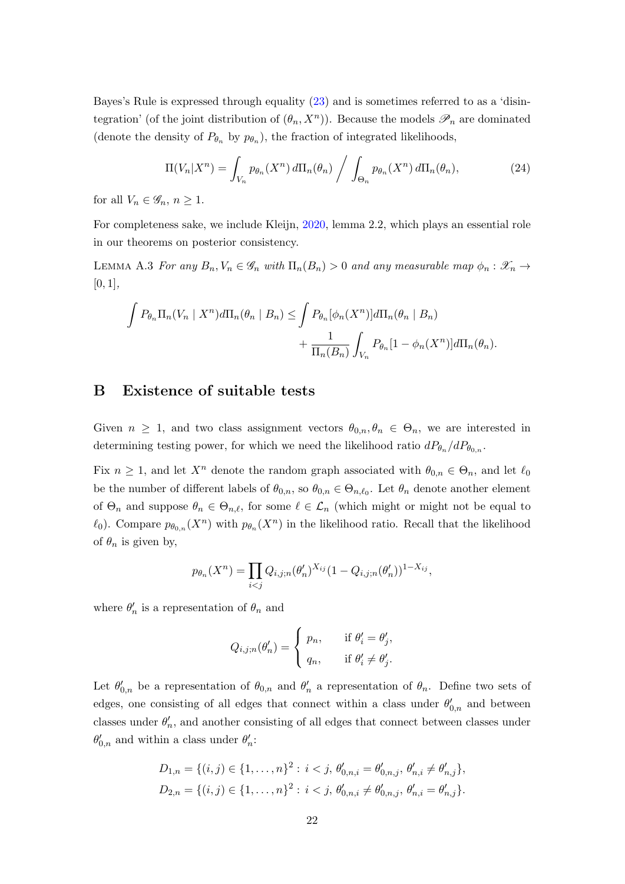Bayes's Rule is expressed through equality [\(23\)](#page-20-1) and is sometimes referred to as a 'disintegration' (of the joint distribution of  $(\theta_n, X^n)$ ). Because the models  $\mathscr{P}_n$  are dominated (denote the density of  $P_{\theta_n}$  by  $p_{\theta_n}$ ), the fraction of integrated likelihoods,

$$
\Pi(V_n|X^n) = \int_{V_n} p_{\theta_n}(X^n) d\Pi_n(\theta_n) / \int_{\Theta_n} p_{\theta_n}(X^n) d\Pi_n(\theta_n), \qquad (24)
$$

for all  $V_n \in \mathscr{G}_n$ ,  $n \geq 1$ .

For completeness sake, we include Kleijn, [2020,](#page-27-11) lemma 2.2, which plays an essential role in our theorems on posterior consistency.

<span id="page-21-1"></span>LEMMA A.3 For any  $B_n, V_n \in \mathscr{G}_n$  with  $\Pi_n(B_n) > 0$  and any measurable map  $\phi_n : \mathscr{X}_n \to$  $[0, 1],$ 

$$
\int P_{\theta_n} \Pi_n(V_n \mid X^n) d\Pi_n(\theta_n \mid B_n) \le \int P_{\theta_n}[\phi_n(X^n)] d\Pi_n(\theta_n \mid B_n) + \frac{1}{\Pi_n(B_n)} \int_{V_n} P_{\theta_n}[1 - \phi_n(X^n)] d\Pi_n(\theta_n).
$$

## <span id="page-21-0"></span>B Existence of suitable tests

Given  $n \geq 1$ , and two class assignment vectors  $\theta_{0,n}, \theta_n \in \Theta_n$ , we are interested in determining testing power, for which we need the likelihood ratio  $dP_{\theta_n}/dP_{\theta_{0,n}}$ .

Fix  $n \geq 1$ , and let  $X^n$  denote the random graph associated with  $\theta_{0,n} \in \Theta_n$ , and let  $\ell_0$ be the number of different labels of  $\theta_{0,n}$ , so  $\theta_{0,n} \in \Theta_{n,\ell_0}$ . Let  $\theta_n$  denote another element of  $\Theta_n$  and suppose  $\theta_n \in \Theta_{n,\ell}$ , for some  $\ell \in \mathcal{L}_n$  (which might or might not be equal to  $\ell_0$ ). Compare  $p_{\theta_{0,n}}(X^n)$  with  $p_{\theta_n}(X^n)$  in the likelihood ratio. Recall that the likelihood of  $\theta_n$  is given by,

$$
p_{\theta_n}(X^n) = \prod_{i < j} Q_{i,j;n}(\theta'_n)^{X_{ij}} (1 - Q_{i,j;n}(\theta'_n))^{1 - X_{ij}},
$$

where  $\theta'_n$  is a representation of  $\theta_n$  and

$$
Q_{i,j;n}(\theta'_n) = \begin{cases} p_n, & \text{if } \theta'_i = \theta'_j, \\ q_n, & \text{if } \theta'_i \neq \theta'_j. \end{cases}
$$

Let  $\theta'_{0,n}$  be a representation of  $\theta_{0,n}$  and  $\theta'_{n}$  a representation of  $\theta_{n}$ . Define two sets of edges, one consisting of all edges that connect within a class under  $\theta'_{0,n}$  and between classes under  $\theta'_n$ , and another consisting of all edges that connect between classes under  $\theta'_{0,n}$  and within a class under  $\theta'_n$ :

$$
D_{1,n} = \{(i,j) \in \{1,\ldots,n\}^2 : i < j, \ \theta'_{0,n,i} = \theta'_{0,n,j}, \ \theta'_{n,i} \neq \theta'_{n,j}\},
$$
  

$$
D_{2,n} = \{(i,j) \in \{1,\ldots,n\}^2 : i < j, \ \theta'_{0,n,i} \neq \theta'_{0,n,j}, \ \theta'_{n,i} = \theta'_{n,j}\}.
$$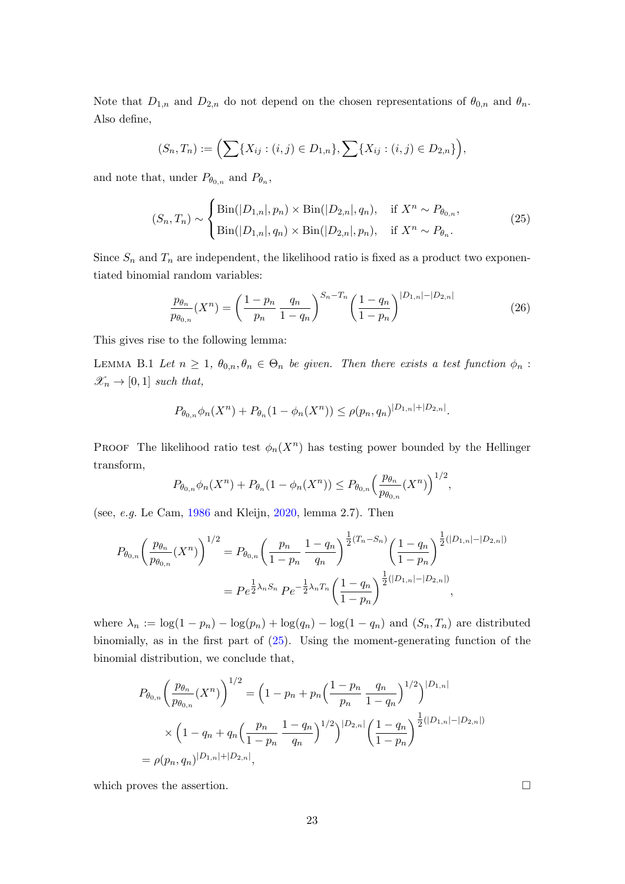Note that  $D_{1,n}$  and  $D_{2,n}$  do not depend on the chosen representations of  $\theta_{0,n}$  and  $\theta_n$ . Also define,

$$
(S_n, T_n) := \left(\sum\{X_{ij} : (i,j) \in D_{1,n}\}, \sum\{X_{ij} : (i,j) \in D_{2,n}\}\right),\,
$$

and note that, under  $P_{\theta_{0,n}}$  and  $P_{\theta_n}$ ,

<span id="page-22-1"></span>
$$
(S_n, T_n) \sim \begin{cases} \text{Bin}(|D_{1,n}|, p_n) \times \text{Bin}(|D_{2,n}|, q_n), & \text{if } X^n \sim P_{\theta_{0,n}}, \\ \text{Bin}(|D_{1,n}|, q_n) \times \text{Bin}(|D_{2,n}|, p_n), & \text{if } X^n \sim P_{\theta_n}. \end{cases}
$$
(25)

Since  $S_n$  and  $T_n$  are independent, the likelihood ratio is fixed as a product two exponentiated binomial random variables:

$$
\frac{p_{\theta_n}}{p_{\theta_{0,n}}}(X^n) = \left(\frac{1-p_n}{p_n} \frac{q_n}{1-q_n}\right)^{S_n-T_n} \left(\frac{1-q_n}{1-p_n}\right)^{|D_{1,n}|-|D_{2,n}|}\tag{26}
$$

<span id="page-22-0"></span>This gives rise to the following lemma:

LEMMA B.1 Let  $n \geq 1$ ,  $\theta_{0,n}, \theta_n \in \Theta_n$  be given. Then there exists a test function  $\phi_n$ :  $\mathscr{X}_n \to [0,1]$  such that,

$$
P_{\theta_{0,n}}\phi_n(X^n) + P_{\theta_n}(1 - \phi_n(X^n)) \le \rho(p_n, q_n)^{|D_{1,n}| + |D_{2,n}|}.
$$

**PROOF** The likelihood ratio test  $\phi_n(X^n)$  has testing power bounded by the Hellinger transform,

$$
P_{\theta_{0,n}}\phi_n(X^n) + P_{\theta_n}(1 - \phi_n(X^n)) \le P_{\theta_{0,n}}\left(\frac{p_{\theta_n}}{p_{\theta_{0,n}}}(X^n)\right)^{1/2},
$$

(see, e.g. Le Cam, [1986](#page-28-4) and Kleijn, [2020,](#page-27-11) lemma 2.7). Then

$$
P_{\theta_{0,n}}\left(\frac{p_{\theta_n}}{p_{\theta_{0,n}}}(X^n)\right)^{1/2} = P_{\theta_{0,n}}\left(\frac{p_n}{1-p_n}\frac{1-q_n}{q_n}\right)^{\frac{1}{2}(T_n-S_n)}\left(\frac{1-q_n}{1-p_n}\right)^{\frac{1}{2}(|D_{1,n}|-|D_{2,n}|)}
$$

$$
= Pe^{\frac{1}{2}\lambda_n S_n} Pe^{-\frac{1}{2}\lambda_n T_n}\left(\frac{1-q_n}{1-p_n}\right)^{\frac{1}{2}(|D_{1,n}|-|D_{2,n}|)},
$$

where  $\lambda_n := \log(1 - p_n) - \log(p_n) + \log(q_n) - \log(1 - q_n)$  and  $(S_n, T_n)$  are distributed binomially, as in the first part of [\(25\)](#page-22-1). Using the moment-generating function of the binomial distribution, we conclude that,

$$
P_{\theta_{0,n}}\left(\frac{p_{\theta_n}}{p_{\theta_{0,n}}}(X^n)\right)^{1/2} = \left(1 - p_n + p_n\left(\frac{1 - p_n}{p_n}\frac{q_n}{1 - q_n}\right)^{1/2}\right)^{|D_{1,n}|}
$$
  
 
$$
\times \left(1 - q_n + q_n\left(\frac{p_n}{1 - p_n}\frac{1 - q_n}{q_n}\right)^{1/2}\right)^{|D_{2,n}|}\left(\frac{1 - q_n}{1 - p_n}\right)^{\frac{1}{2}(|D_{1,n}| - |D_{2,n}|)}
$$
  
=  $\rho(p_n, q_n)^{|D_{1,n}| + |D_{2,n}|},$ 

which proves the assertion.  $\hfill \square$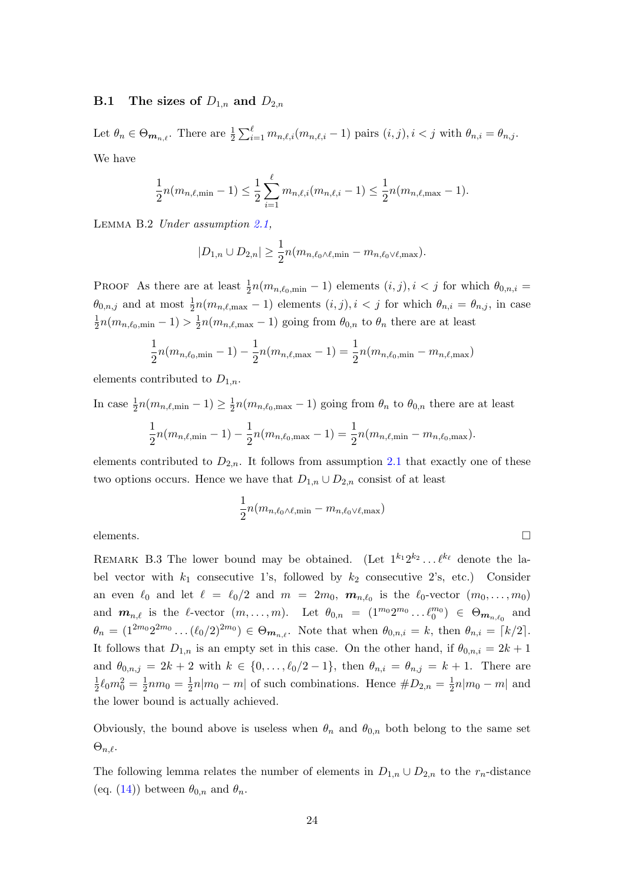## **B.1** The sizes of  $D_{1,n}$  and  $D_{2,n}$

Let  $\theta_n \in \Theta_{\mathbf{m}_{n,\ell}}$ . There are  $\frac{1}{2} \sum_{i=1}^{\ell} m_{n,\ell,i}(m_{n,\ell,i}-1)$  pairs  $(i, j), i < j$  with  $\theta_{n,i} = \theta_{n,j}$ . We have

$$
\frac{1}{2}n(m_{n,\ell,\min}-1) \leq \frac{1}{2}\sum_{i=1}^{\ell}m_{n,\ell,i}(m_{n,\ell,i}-1) \leq \frac{1}{2}n(m_{n,\ell,\max}-1).
$$

<span id="page-23-0"></span>LEMMA B.2 Under assumption [2.1,](#page-5-0)

$$
|D_{1,n} \cup D_{2,n}| \geq \frac{1}{2} n (m_{n,\ell_0 \wedge \ell, \min} - m_{n,\ell_0 \vee \ell, \max}).
$$

PROOF As there are at least  $\frac{1}{2}n(m_{n,\ell_0,\text{min}}-1)$  elements  $(i, j), i < j$  for which  $\theta_{0,n,i} =$  $\theta_{0,n,j}$  and at most  $\frac{1}{2}n(m_{n,\ell,\text{max}}-1)$  elements  $(i, j), i < j$  for which  $\theta_{n,i} = \theta_{n,j}$ , in case 1  $\frac{1}{2}n(m_{n,\ell_0,\text{min}}-1) > \frac{1}{2}$  $\frac{1}{2}n(m_{n,\ell,\text{max}}-1)$  going from  $\theta_{0,n}$  to  $\theta_n$  there are at least

$$
\frac{1}{2}n(m_{n,\ell_0,\min}-1) - \frac{1}{2}n(m_{n,\ell,\max}-1) = \frac{1}{2}n(m_{n,\ell_0,\min}-m_{n,\ell,\max})
$$

elements contributed to  $D_{1,n}$ .

In case  $\frac{1}{2}n(m_{n,\ell,\text{min}}-1) \geq \frac{1}{2}$  $\frac{1}{2}n(m_{n,\ell_0,\text{max}}-1)$  going from  $\theta_n$  to  $\theta_{0,n}$  there are at least 1  $\frac{1}{2}n(m_{n,\ell,\text{min}}-1)-\frac{1}{2}$  $\frac{1}{2}n(m_{n,\ell_0,\text{max}}-1) = \frac{1}{2}n(m_{n,\ell,\text{min}}-m_{n,\ell_0,\text{max}}).$ 

elements contributed to  $D_{2,n}$ . It follows from assumption [2.1](#page-5-0) that exactly one of these two options occurs. Hence we have that  $D_{1,n} \cup D_{2,n}$  consist of at least

$$
\frac{1}{2}n(m_{n,\ell_0\wedge\ell,\min}-m_{n,\ell_0\vee\ell,\max})
$$

elements.

REMARK B.3 The lower bound may be obtained. (Let  $1^{k_1}2^{k_2}\ldots l^{k_\ell}$  denote the label vector with  $k_1$  consecutive 1's, followed by  $k_2$  consecutive 2's, etc.) Consider an even  $\ell_0$  and let  $\ell = \ell_0/2$  and  $m = 2m_0$ ,  $m_{n,\ell_0}$  is the  $\ell_0$ -vector  $(m_0, \ldots, m_0)$ and  $m_{n,\ell}$  is the  $\ell$ -vector  $(m, \ldots, m)$ . Let  $\theta_{0,n} = (1^{m_0} 2^{m_0} \ldots \ell_0^{m_0}) \in \Theta_{m_{n,\ell_0}}$  and  $\theta_n = (1^{2m_0} 2^{2m_0} \dots (\ell_0/2)^{2m_0}) \in \Theta_{m_{n,\ell}}$ . Note that when  $\theta_{0,n,i} = k$ , then  $\theta_{n,i} = \lceil k/2 \rceil$ . It follows that  $D_{1,n}$  is an empty set in this case. On the other hand, if  $\theta_{0,n,i} = 2k+1$ and  $\theta_{0,n,j} = 2k + 2$  with  $k \in \{0, ..., \ell_0/2 - 1\}$ , then  $\theta_{n,i} = \theta_{n,j} = k + 1$ . There are 1  $\frac{1}{2} \ell_0 m_0^2 = \frac{1}{2}$  $\frac{1}{2}nm_0 = \frac{1}{2}$  $\frac{1}{2}n|m_0 - m|$  of such combinations. Hence  $\#D_{2,n} = \frac{1}{2}$  $\frac{1}{2}n|m_0 - m|$  and the lower bound is actually achieved.

Obviously, the bound above is useless when  $\theta_n$  and  $\theta_{0,n}$  both belong to the same set  $\Theta_{n,\ell}$ .

<span id="page-23-1"></span>The following lemma relates the number of elements in  $D_{1,n} \cup D_{2,n}$  to the  $r_n$ -distance (eq. [\(14\)](#page-10-2)) between  $\theta_{0,n}$  and  $\theta_n$ .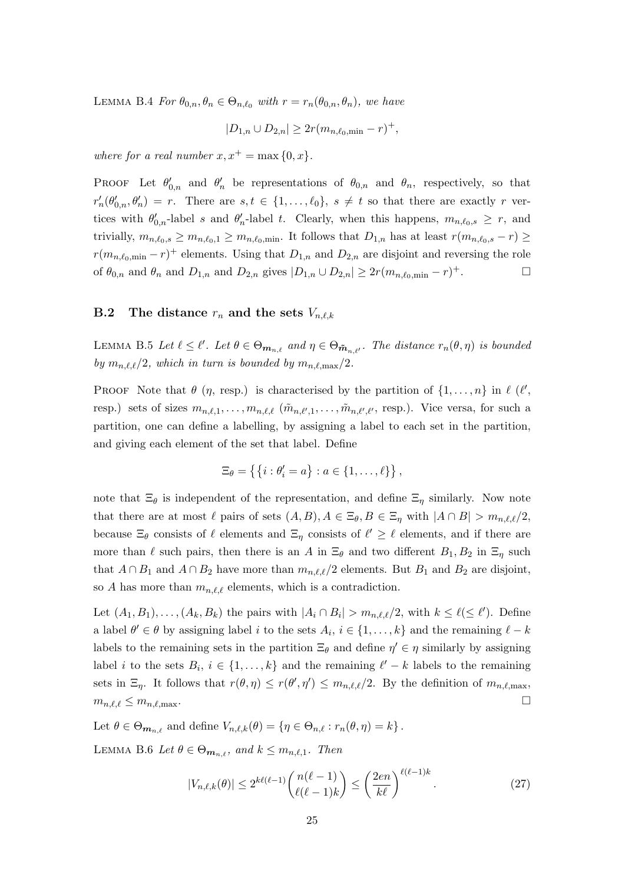LEMMA B.4 For  $\theta_{0,n}, \theta_n \in \Theta_{n,\ell_0}$  with  $r = r_n(\theta_{0,n}, \theta_n)$ , we have

$$
|D_{1,n} \cup D_{2,n}| \geq 2r(m_{n,\ell_0,\min} - r)^{+},
$$

where for a real number  $x, x^+ = \max\{0, x\}.$ 

PROOF Let  $\theta'_{0,n}$  and  $\theta'_{n}$  be representations of  $\theta_{0,n}$  and  $\theta_{n}$ , respectively, so that  $r'_n(\theta'_{0,n},\theta'_n) = r$ . There are  $s,t \in \{1,\ldots,\ell_0\}$ ,  $s \neq t$  so that there are exactly r vertices with  $\theta'_{0,n}$ -label s and  $\theta'_{n}$ -label t. Clearly, when this happens,  $m_{n,\ell_0,s} \geq r$ , and trivially,  $m_{n,\ell_0,s} \geq m_{n,\ell_0,1} \geq m_{n,\ell_0,\min}$ . It follows that  $D_{1,n}$  has at least  $r(m_{n,\ell_0,s} - r) \geq$  $r(m_{n,\ell_0,\text{min}} - r)^+$  elements. Using that  $D_{1,n}$  and  $D_{2,n}$  are disjoint and reversing the role of  $\theta_{0,n}$  and  $\theta_n$  and  $D_{1,n}$  and  $D_{2,n}$  gives  $|D_{1,n} \cup D_{2,n}| \geq 2r(m_{n,\ell_0,\text{min}} - r)^+$ .

## **B.2** The distance  $r_n$  and the sets  $V_{n,\ell,k}$

<span id="page-24-0"></span>LEMMA B.5 Let  $\ell \leq \ell'$ . Let  $\theta \in \Theta_{m_{n,\ell}}$  and  $\eta \in \Theta_{\tilde{m}_{n,\ell'}}$ . The distance  $r_n(\theta, \eta)$  is bounded by  $m_{n,\ell,\ell}/2$ , which in turn is bounded by  $m_{n,\ell,\max}/2$ .

PROOF Note that  $\theta$  (*η*, resp.) is characterised by the partition of  $\{1, \ldots, n\}$  in  $\ell$  ( $\ell'$ , resp.) sets of sizes  $m_{n,\ell,1}, \ldots, m_{n,\ell,\ell}$  ( $\tilde{m}_{n,\ell',1}, \ldots, \tilde{m}_{n,\ell',\ell'}$ , resp.). Vice versa, for such a partition, one can define a labelling, by assigning a label to each set in the partition, and giving each element of the set that label. Define

$$
\Xi_{\theta} = \{ \{i : \theta'_i = a \} : a \in \{1, \ldots, \ell\} \},
$$

note that  $\Xi_{\theta}$  is independent of the representation, and define  $\Xi_{\eta}$  similarly. Now note that there are at most  $\ell$  pairs of sets  $(A, B), A \in \Xi_{\theta}, B \in \Xi_{\eta}$  with  $|A \cap B| > m_{n,\ell,\ell}/2$ , because  $\Xi_{\theta}$  consists of  $\ell$  elements and  $\Xi_{\eta}$  consists of  $\ell' \geq \ell$  elements, and if there are more than  $\ell$  such pairs, then there is an A in  $\Xi_{\theta}$  and two different  $B_1, B_2$  in  $\Xi_{\eta}$  such that  $A \cap B_1$  and  $A \cap B_2$  have more than  $m_{n,\ell,\ell}/2$  elements. But  $B_1$  and  $B_2$  are disjoint, so A has more than  $m_{n,\ell,\ell}$  elements, which is a contradiction.

Let  $(A_1, B_1), \ldots, (A_k, B_k)$  the pairs with  $|A_i \cap B_i| > m_{n,\ell,\ell}/2$ , with  $k \leq \ell (\leq \ell')$ . Define a label  $\theta' \in \theta$  by assigning label i to the sets  $A_i, i \in \{1, ..., k\}$  and the remaining  $\ell - k$ labels to the remaining sets in the partition  $\Xi_{\theta}$  and define  $\eta' \in \eta$  similarly by assigning label *i* to the sets  $B_i$ ,  $i \in \{1, ..., k\}$  and the remaining  $\ell' - k$  labels to the remaining sets in  $\Xi_{\eta}$ . It follows that  $r(\theta, \eta) \leq r(\theta', \eta') \leq m_{n,\ell,\ell}/2$ . By the definition of  $m_{n,\ell,\max}$ ,  $m_{n,\ell,\ell} \leq m_{n,\ell,\text{max}}$ .

Let  $\theta \in \Theta_{m_{n,\ell}}$  and define  $V_{n,\ell,k}(\theta) = {\eta \in \Theta_{n,\ell} : r_n(\theta, \eta) = k}.$ 

<span id="page-24-1"></span>LEMMA B.6 Let  $\theta \in \Theta_{m_n}$ , and  $k \leq m_{n,\ell,1}$ . Then

<span id="page-24-2"></span>
$$
|V_{n,\ell,k}(\theta)| \le 2^{k\ell(\ell-1)} \binom{n(\ell-1)}{\ell(\ell-1)k} \le \left(\frac{2en}{k\ell}\right)^{\ell(\ell-1)k}.\tag{27}
$$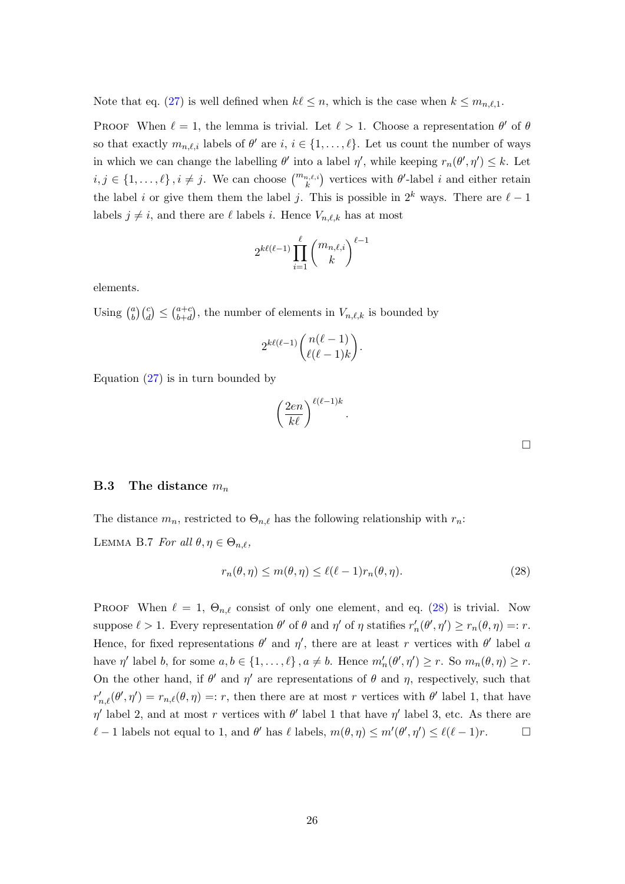Note that eq. [\(27\)](#page-24-2) is well defined when  $k \leq n$ , which is the case when  $k \leq m_{n,\ell,1}$ .

PROOF When  $\ell = 1$ , the lemma is trivial. Let  $\ell > 1$ . Choose a representation  $\theta'$  of  $\theta$ so that exactly  $m_{n,\ell,i}$  labels of  $\theta'$  are  $i, i \in \{1, \ldots, \ell\}$ . Let us count the number of ways in which we can change the labelling  $\theta'$  into a label  $\eta'$ , while keeping  $r_n(\theta', \eta') \leq k$ . Let  $i, j \in \{1, \ldots, \ell\}, i \neq j$ . We can choose  $\binom{m_{n,\ell,i}}{k}$  vertices with  $\theta'$ -label i and either retain the label i or give them them the label j. This is possible in  $2^k$  ways. There are  $\ell - 1$ labels  $j \neq i$ , and there are  $\ell$  labels i. Hence  $V_{n,\ell,k}$  has at most

$$
2^{k\ell(\ell-1)}\prod_{i=1}^{\ell} \binom{m_{n,\ell,i}}{k}^{\ell-1}
$$

elements.

Using  $\binom{a}{b}$  $\binom{a}{b}\binom{c}{d} \leq \binom{a+c}{b+d}$  $\binom{a+c}{b+d}$ , the number of elements in  $V_{n,\ell,k}$  is bounded by

$$
2^{k\ell(\ell-1)} \binom{n(\ell-1)}{\ell(\ell-1)k}.
$$

Equation  $(27)$  is in turn bounded by

$$
\left(\frac{2en}{k\ell}\right)^{\ell(\ell-1)k}.
$$

**B.3** The distance  $m_n$ 

<span id="page-25-0"></span>The distance  $m_n$ , restricted to  $\Theta_{n,\ell}$  has the following relationship with  $r_n$ : LEMMA B.7 For all  $\theta, \eta \in \Theta_{n,\ell}$ ,

<span id="page-25-1"></span>
$$
r_n(\theta, \eta) \le m(\theta, \eta) \le \ell(\ell - 1)r_n(\theta, \eta). \tag{28}
$$

PROOF When  $\ell = 1$ ,  $\Theta_{n,\ell}$  consist of only one element, and eq. [\(28\)](#page-25-1) is trivial. Now suppose  $\ell > 1$ . Every representation  $\theta'$  of  $\theta$  and  $\eta'$  of  $\eta$  statifies  $r'_n(\theta', \eta') \ge r_n(\theta, \eta) =: r$ . Hence, for fixed representations  $\theta'$  and  $\eta'$ , there are at least r vertices with  $\theta'$  label a have  $\eta'$  label b, for some  $a, b \in \{1, ..., \ell\}, a \neq b$ . Hence  $m'_n(\theta', \eta') \geq r$ . So  $m_n(\theta, \eta) \geq r$ . On the other hand, if  $\theta'$  and  $\eta'$  are representations of  $\theta$  and  $\eta$ , respectively, such that  $r'_{n,\ell}(\theta',\eta') = r_{n,\ell}(\theta,\eta) =: r$ , then there are at most r vertices with  $\theta'$  label 1, that have  $\eta'$  label 2, and at most r vertices with  $\theta'$  label 1 that have  $\eta'$  label 3, etc. As there are  $\ell - 1$  labels not equal to 1, and  $\theta'$  has  $\ell$  labels,  $m(\theta, \eta) \leq m'(\theta', \eta') \leq \ell(\ell - 1)r$ .

 $\Box$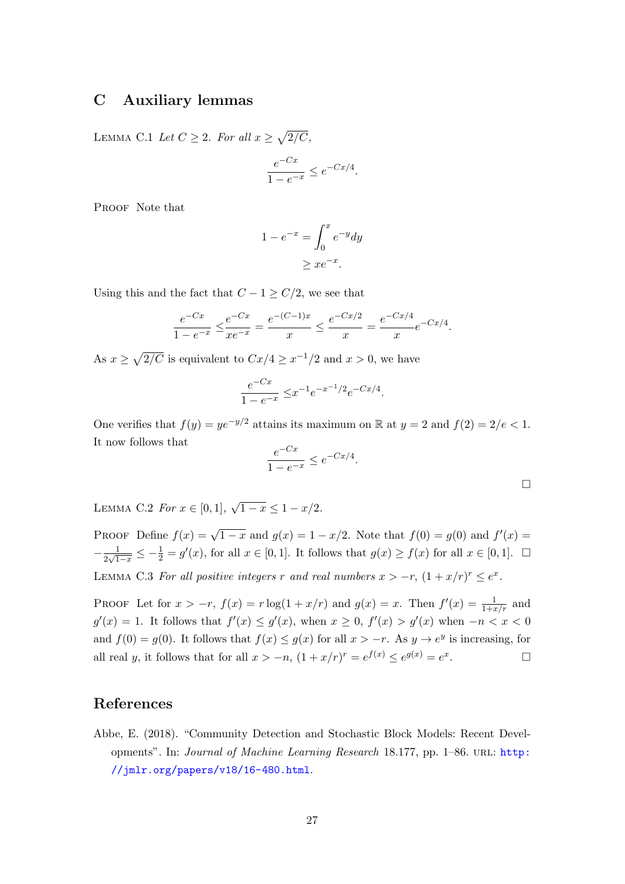# <span id="page-26-1"></span>C Auxiliary lemmas

<span id="page-26-4"></span>LEMMA C.1 Let  $C \geq 2$ . For all  $x \geq \sqrt{2/C}$ ,

$$
\frac{e^{-Cx}}{1 - e^{-x}} \le e^{-Cx/4}.
$$

PROOF Note that

$$
1 - e^{-x} = \int_0^x e^{-y} dy
$$

$$
\geq x e^{-x}.
$$

Using this and the fact that  $C - 1 \ge C/2$ , we see that

$$
\frac{e^{-Cx}}{1 - e^{-x}} \le \frac{e^{-Cx}}{xe^{-x}} = \frac{e^{-(C-1)x}}{x} \le \frac{e^{-Cx/2}}{x} = \frac{e^{-Cx/4}}{x}e^{-Cx/4}.
$$

As  $x \geq \sqrt{2/C}$  is equivalent to  $Cx/4 \geq x^{-1/2}$  and  $x > 0$ , we have

$$
\frac{e^{-Cx}}{1 - e^{-x}} \le x^{-1} e^{-x^{-1}/2} e^{-Cx/4}.
$$

One verifies that  $f(y) = ye^{-y/2}$  attains its maximum on R at  $y = 2$  and  $f(2) = 2/e < 1$ . It now follows that

$$
\frac{e^{-Cx}}{1 - e^{-x}} \le e^{-Cx/4}.
$$

<span id="page-26-2"></span>LEMMA C.2 For  $x \in [0,1], \sqrt{2}$  $1-x \leq 1-x/2$ .

PROOF Define  $f(x) = \sqrt{1-x}$  and  $g(x) = 1 - x/2$ . Note that  $f(0) = g(0)$  and  $f'(x) =$  $-\frac{1}{2}$  $\frac{1}{2\sqrt{1-x}} \leq -\frac{1}{2} = g'(x)$ , for all  $x \in [0,1]$ . It follows that  $g(x) \geq f(x)$  for all  $x \in [0,1]$ .  $\Box$ LEMMA C.3 For all positive integers r and real numbers  $x > -r$ ,  $(1 + x/r)^r \le e^x$ .

<span id="page-26-3"></span>PROOF Let for  $x > -r$ ,  $f(x) = r \log(1 + x/r)$  and  $g(x) = x$ . Then  $f'(x) = \frac{1}{1 + x/r}$  and  $g'(x) = 1$ . It follows that  $f'(x) \leq g'(x)$ , when  $x \geq 0$ ,  $f'(x) > g'(x)$  when  $-n < x < 0$ and  $f(0) = g(0)$ . It follows that  $f(x) \le g(x)$  for all  $x > -r$ . As  $y \to e^y$  is increasing, for all real y, it follows that for all  $x > -n$ ,  $(1 + x/r)^r = e^{f(x)} \le e^{g(x)} = e^x$ . — Первый проста в сервести проста в сервести проста в сервести проста в сервести проста в сервести проста в<br>В сервести проста в сервести проста в сервести проста в сервести проста в сервести проста в сервести проста в

## References

<span id="page-26-0"></span>Abbe, E. (2018). "Community Detection and Stochastic Block Models: Recent Developments". In: Journal of Machine Learning Research 18.177, pp. 1–86. URL: [http:](http://jmlr.org/papers/v18/16-480.html) [//jmlr.org/papers/v18/16-480.html](http://jmlr.org/papers/v18/16-480.html).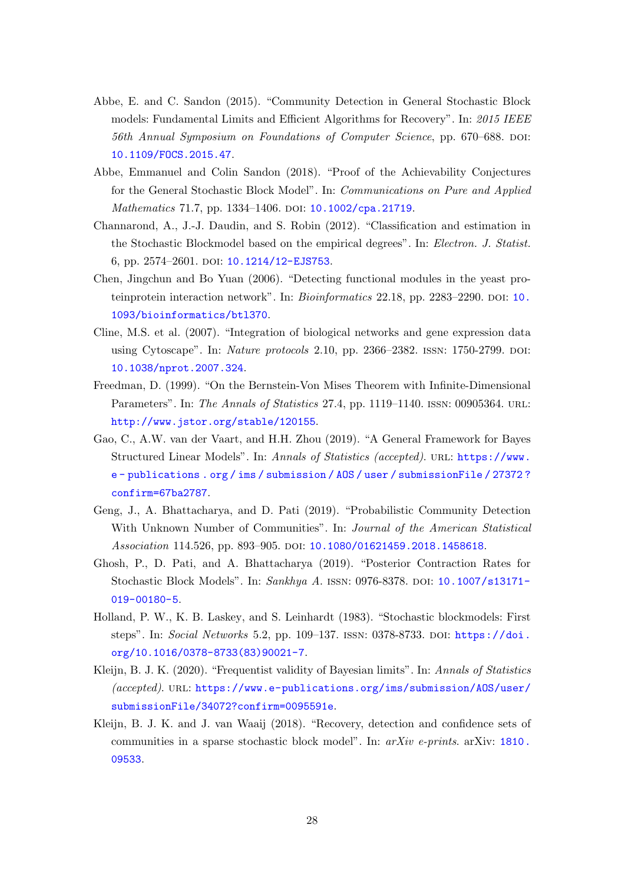- <span id="page-27-3"></span>Abbe, E. and C. Sandon (2015). "Community Detection in General Stochastic Block models: Fundamental Limits and Efficient Algorithms for Recovery". In: 2015 IEEE 56th Annual Symposium on Foundations of Computer Science, pp. 670–688. DOI: [10.1109/FOCS.2015.47](https://doi.org/10.1109/FOCS.2015.47).
- <span id="page-27-4"></span>Abbe, Emmanuel and Colin Sandon (2018). "Proof of the Achievability Conjectures for the General Stochastic Block Model". In: Communications on Pure and Applied Mathematics 71.7, pp. 1334-1406. DOI: [10.1002/cpa.21719](https://doi.org/10.1002/cpa.21719).
- <span id="page-27-8"></span>Channarond, A., J.-J. Daudin, and S. Robin (2012). "Classification and estimation in the Stochastic Blockmodel based on the empirical degrees". In: Electron. J. Statist. 6, pp. 2574-2601. DOI: [10.1214/12-EJS753](https://doi.org/10.1214/12-EJS753).
- <span id="page-27-0"></span>Chen, Jingchun and Bo Yuan (2006). "Detecting functional modules in the yeast proteinprotein interaction network". In: *Bioinformatics* 22.18, pp. 2283–2290. DOI: [10.](https://doi.org/10.1093/bioinformatics/btl370) [1093/bioinformatics/btl370](https://doi.org/10.1093/bioinformatics/btl370).
- <span id="page-27-2"></span>Cline, M.S. et al. (2007). "Integration of biological networks and gene expression data using Cytoscape". In: Nature protocols 2.10, pp. 2366–2382. ISSN: 1750-2799. DOI: [10.1038/nprot.2007.324](https://doi.org/10.1038/nprot.2007.324).
- <span id="page-27-10"></span>Freedman, D. (1999). "On the Bernstein-Von Mises Theorem with Infinite-Dimensional Parameters". In: The Annals of Statistics 27.4, pp. 1119–1140. ISSN: 00905364. URL: <http://www.jstor.org/stable/120155>.
- <span id="page-27-7"></span>Gao, C., A.W. van der Vaart, and H.H. Zhou (2019). "A General Framework for Bayes Structured Linear Models". In: Annals of Statistics (accepted). url: [https://www.](https://www.e-publications.org/ims/submission/AOS/user/submissionFile/27372?confirm=67ba2787) [e - publications . org / ims / submission / AOS / user / submissionFile / 27372 ?](https://www.e-publications.org/ims/submission/AOS/user/submissionFile/27372?confirm=67ba2787) [confirm=67ba2787](https://www.e-publications.org/ims/submission/AOS/user/submissionFile/27372?confirm=67ba2787).
- <span id="page-27-6"></span>Geng, J., A. Bhattacharya, and D. Pati (2019). "Probabilistic Community Detection With Unknown Number of Communities". In: Journal of the American Statistical Association 114.526, pp. 893-905. DOI: [10.1080/01621459.2018.1458618](https://doi.org/10.1080/01621459.2018.1458618).
- <span id="page-27-5"></span>Ghosh, P., D. Pati, and A. Bhattacharya (2019). "Posterior Contraction Rates for Stochastic Block Models". In: Sankhya A. ISSN: 0976-8378. DOI: [10.1007/s13171-](https://doi.org/10.1007/s13171-019-00180-5) [019-00180-5](https://doi.org/10.1007/s13171-019-00180-5).
- <span id="page-27-1"></span>Holland, P. W., K. B. Laskey, and S. Leinhardt (1983). "Stochastic blockmodels: First steps". In: Social Networks 5.2, pp. 109–137. issn: 0378-8733. doi: [https://doi.](https://doi.org/https://doi.org/10.1016/0378-8733(83)90021-7) [org/10.1016/0378-8733\(83\)90021-7](https://doi.org/https://doi.org/10.1016/0378-8733(83)90021-7).
- <span id="page-27-11"></span>Kleijn, B. J. K. (2020). "Frequentist validity of Bayesian limits". In: Annals of Statistics (accepted). url: [https://www.e-publications.org/ims/submission/AOS/user/](https://www.e-publications.org/ims/submission/AOS/user/submissionFile/34072?confirm=0095591e) [submissionFile/34072?confirm=0095591e](https://www.e-publications.org/ims/submission/AOS/user/submissionFile/34072?confirm=0095591e).
- <span id="page-27-9"></span>Kleijn, B. J. K. and J. van Waaij (2018). "Recovery, detection and confidence sets of communities in a sparse stochastic block model". In:  $arXiv$  e-prints. arXiv: [1810.](https://arxiv.org/abs/1810.09533) [09533](https://arxiv.org/abs/1810.09533).